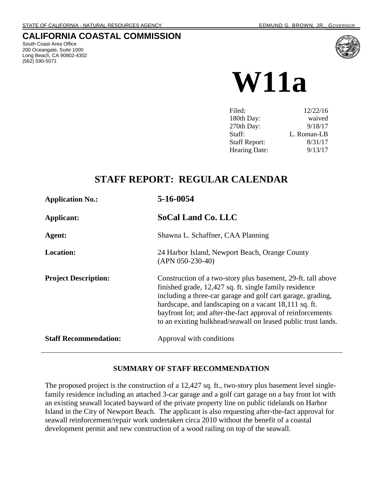# **CALIFORNIA COASTAL COMMISSION**

South Coast Area Office 200 Oceangate, Suite 1000 Long Beach, CA 90802-4302 (562) 590-5071



**W11a**

| Filed:               | 12/22/16    |
|----------------------|-------------|
| 180th Day:           | waived      |
| 270th Day:           | 9/18/17     |
| Staff:               | L. Roman-LB |
| <b>Staff Report:</b> | 8/31/17     |
| <b>Hearing Date:</b> | 9/13/17     |

# **STAFF REPORT: REGULAR CALENDAR**

| <b>Application No.:</b>      | 5-16-0054                                                                                                                                                                                                                                                                                                                                                                      |
|------------------------------|--------------------------------------------------------------------------------------------------------------------------------------------------------------------------------------------------------------------------------------------------------------------------------------------------------------------------------------------------------------------------------|
| Applicant:                   | <b>SoCal Land Co. LLC</b>                                                                                                                                                                                                                                                                                                                                                      |
| Agent:                       | Shawna L. Schaffner, CAA Planning                                                                                                                                                                                                                                                                                                                                              |
| <b>Location:</b>             | 24 Harbor Island, Newport Beach, Orange County<br>$(APN 050-230-40)$                                                                                                                                                                                                                                                                                                           |
| <b>Project Description:</b>  | Construction of a two-story plus basement, 29-ft. tall above<br>finished grade, 12,427 sq. ft. single family residence<br>including a three-car garage and golf cart garage, grading,<br>hardscape, and landscaping on a vacant 18,111 sq. ft.<br>bayfront lot; and after-the-fact approval of reinforcements<br>to an existing bulkhead/seawall on leased public trust lands. |
| <b>Staff Recommendation:</b> | Approval with conditions                                                                                                                                                                                                                                                                                                                                                       |

### **SUMMARY OF STAFF RECOMMENDATION**

The proposed project is the construction of a 12,427 sq. ft., two-story plus basement level singlefamily residence including an attached 3-car garage and a golf cart garage on a bay front lot with an existing seawall located bayward of the private property line on public tidelands on Harbor Island in the City of Newport Beach. The applicant is also requesting after-the-fact approval for seawall reinforcement/repair work undertaken circa 2010 without the benefit of a coastal development permit and new construction of a wood railing on top of the seawall.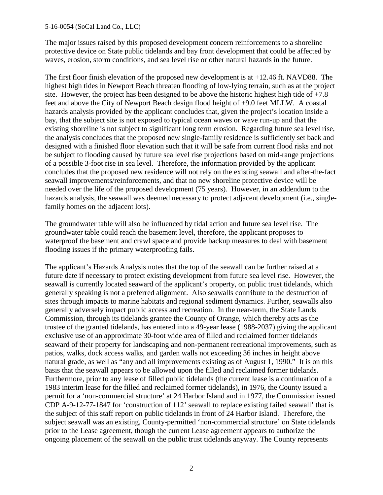The major issues raised by this proposed development concern reinforcements to a shoreline protective device on State public tidelands and bay front development that could be affected by waves, erosion, storm conditions, and sea level rise or other natural hazards in the future.

The first floor finish elevation of the proposed new development is at +12.46 ft. NAVD88. The highest high tides in Newport Beach threaten flooding of low-lying terrain, such as at the project site. However, the project has been designed to be above the historic highest high tide of  $+7.8$ feet and above the City of Newport Beach design flood height of +9.0 feet MLLW. A coastal hazards analysis provided by the applicant concludes that, given the project's location inside a bay, that the subject site is not exposed to typical ocean waves or wave run-up and that the existing shoreline is not subject to significant long term erosion. Regarding future sea level rise, the analysis concludes that the proposed new single-family residence is sufficiently set back and designed with a finished floor elevation such that it will be safe from current flood risks and not be subject to flooding caused by future sea level rise projections based on mid-range projections of a possible 3-foot rise in sea level. Therefore, the information provided by the applicant concludes that the proposed new residence will not rely on the existing seawall and after-the-fact seawall improvements/reinforcements, and that no new shoreline protective device will be needed over the life of the proposed development (75 years). However, in an addendum to the hazards analysis, the seawall was deemed necessary to protect adjacent development (i.e., singlefamily homes on the adjacent lots).

The groundwater table will also be influenced by tidal action and future sea level rise. The groundwater table could reach the basement level, therefore, the applicant proposes to waterproof the basement and crawl space and provide backup measures to deal with basement flooding issues if the primary waterproofing fails.

The applicant's Hazards Analysis notes that the top of the seawall can be further raised at a future date if necessary to protect existing development from future sea level rise. However, the seawall is currently located seaward of the applicant's property, on public trust tidelands, which generally speaking is not a preferred alignment. Also seawalls contribute to the destruction of sites through impacts to marine habitats and regional sediment dynamics. Further, seawalls also generally adversely impact public access and recreation. In the near-term, the State Lands Commission, through its tidelands grantee the County of Orange, which thereby acts as the trustee of the granted tidelands, has entered into a 49-year lease (1988-2037) giving the applicant exclusive use of an approximate 30-foot wide area of filled and reclaimed former tidelands seaward of their property for landscaping and non-permanent recreational improvements, such as patios, walks, dock access walks, and garden walls not exceeding 36 inches in height above natural grade, as well as "any and all improvements existing as of August 1, 1990." It is on this basis that the seawall appears to be allowed upon the filled and reclaimed former tidelands. Furthermore, prior to any lease of filled public tidelands (the current lease is a continuation of a 1983 interim lease for the filled and reclaimed former tidelands), in 1976, the County issued a permit for a 'non-commercial structure' at 24 Harbor Island and in 1977, the Commission issued CDP A-9-12-77-1847 for 'construction of 112' seawall to replace existing failed seawall' that is the subject of this staff report on public tidelands in front of 24 Harbor Island. Therefore, the subject seawall was an existing, County-permitted 'non-commercial structure' on State tidelands prior to the Lease agreement, though the current Lease agreement appears to authorize the ongoing placement of the seawall on the public trust tidelands anyway. The County represents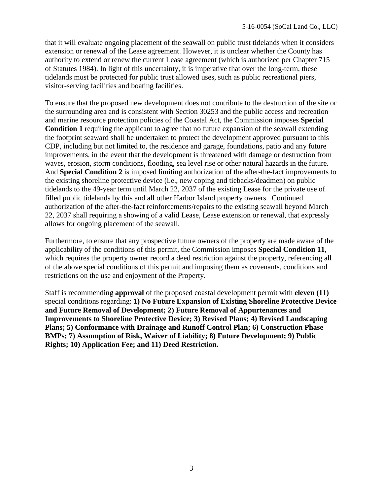that it will evaluate ongoing placement of the seawall on public trust tidelands when it considers extension or renewal of the Lease agreement. However, it is unclear whether the County has authority to extend or renew the current Lease agreement (which is authorized per Chapter 715 of Statutes 1984). In light of this uncertainty, it is imperative that over the long-term, these tidelands must be protected for public trust allowed uses, such as public recreational piers, visitor-serving facilities and boating facilities.

To ensure that the proposed new development does not contribute to the destruction of the site or the surrounding area and is consistent with Section 30253 and the public access and recreation and marine resource protection policies of the Coastal Act, the Commission imposes **Special Condition 1** requiring the applicant to agree that no future expansion of the seawall extending the footprint seaward shall be undertaken to protect the development approved pursuant to this CDP, including but not limited to, the residence and garage, foundations, patio and any future improvements, in the event that the development is threatened with damage or destruction from waves, erosion, storm conditions, flooding, sea level rise or other natural hazards in the future. And **Special Condition 2** is imposed limiting authorization of the after-the-fact improvements to the existing shoreline protective device (i.e., new coping and tiebacks/deadmen) on public tidelands to the 49-year term until March 22, 2037 of the existing Lease for the private use of filled public tidelands by this and all other Harbor Island property owners. Continued authorization of the after-the-fact reinforcements/repairs to the existing seawall beyond March 22, 2037 shall requiring a showing of a valid Lease, Lease extension or renewal, that expressly allows for ongoing placement of the seawall.

Furthermore, to ensure that any prospective future owners of the property are made aware of the applicability of the conditions of this permit, the Commission imposes **Special Condition 11**, which requires the property owner record a deed restriction against the property, referencing all of the above special conditions of this permit and imposing them as covenants, conditions and restrictions on the use and enjoyment of the Property.

Staff is recommending **approval** of the proposed coastal development permit with **eleven (11)** special conditions regarding: **1) No Future Expansion of Existing Shoreline Protective Device and Future Removal of Development; 2) Future Removal of Appurtenances and Improvements to Shoreline Protective Device; 3) Revised Plans; 4) Revised Landscaping Plans; 5) Conformance with Drainage and Runoff Control Plan; 6) Construction Phase BMPs; 7) Assumption of Risk, Waiver of Liability; 8) Future Development; 9) Public Rights; 10) Application Fee; and 11) Deed Restriction.**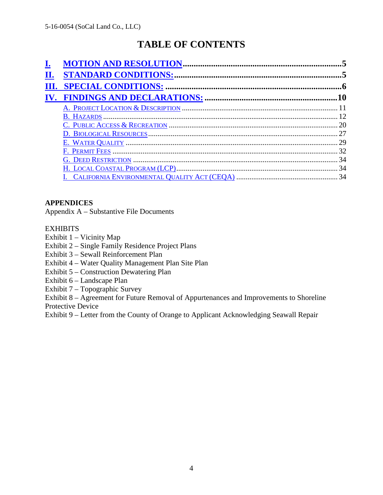# **TABLE OF CONTENTS**

| П. |    |
|----|----|
|    |    |
|    |    |
|    |    |
|    |    |
|    |    |
|    |    |
|    |    |
|    | 32 |
|    |    |
|    |    |
|    |    |

## **APPENDICES**

Appendix A – Substantive File Documents

### **EXHIBITS**

- Exhibit 1 Vicinity Map
- Exhibit 2 Single Family Residence Project Plans
- Exhibit 3 Sewall Reinforcement Plan
- Exhibit 4 Water Quality Management Plan Site Plan
- Exhibit 5 Construction Dewatering Plan
- Exhibit 6 Landscape Plan
- Exhibit 7 Topographic Survey

Exhibit 8 – Agreement for Future Removal of Appurtenances and Improvements to Shoreline Protective Device

Exhibit 9 – Letter from the County of Orange to Applicant Acknowledging Seawall Repair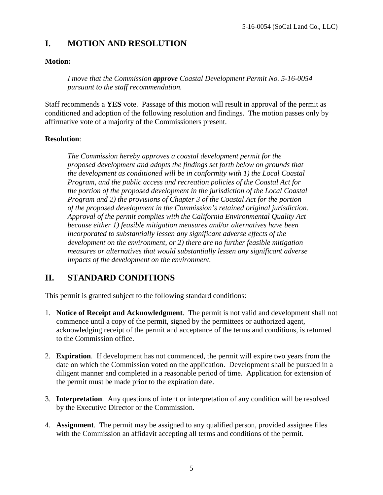# **I. MOTION AND RESOLUTION**

### **Motion:**

*I move that the Commission approve Coastal Development Permit No. 5-16-0054 pursuant to the staff recommendation.* 

Staff recommends a **YES** vote. Passage of this motion will result in approval of the permit as conditioned and adoption of the following resolution and findings. The motion passes only by affirmative vote of a majority of the Commissioners present.

### **Resolution**:

*The Commission hereby approves a coastal development permit for the proposed development and adopts the findings set forth below on grounds that the development as conditioned will be in conformity with 1) the Local Coastal Program, and the public access and recreation policies of the Coastal Act for the portion of the proposed development in the jurisdiction of the Local Coastal Program and 2) the provisions of Chapter 3 of the Coastal Act for the portion of the proposed development in the Commission's retained original jurisdiction. Approval of the permit complies with the California Environmental Quality Act because either 1) feasible mitigation measures and/or alternatives have been incorporated to substantially lessen any significant adverse effects of the development on the environment, or 2) there are no further feasible mitigation measures or alternatives that would substantially lessen any significant adverse impacts of the development on the environment.* 

# **II. STANDARD CONDITIONS**

This permit is granted subject to the following standard conditions:

- 1. **Notice of Receipt and Acknowledgment**. The permit is not valid and development shall not commence until a copy of the permit, signed by the permittees or authorized agent, acknowledging receipt of the permit and acceptance of the terms and conditions, is returned to the Commission office.
- 2. **Expiration**. If development has not commenced, the permit will expire two years from the date on which the Commission voted on the application. Development shall be pursued in a diligent manner and completed in a reasonable period of time. Application for extension of the permit must be made prior to the expiration date.
- 3. **Interpretation**. Any questions of intent or interpretation of any condition will be resolved by the Executive Director or the Commission.
- 4. **Assignment**. The permit may be assigned to any qualified person, provided assignee files with the Commission an affidavit accepting all terms and conditions of the permit.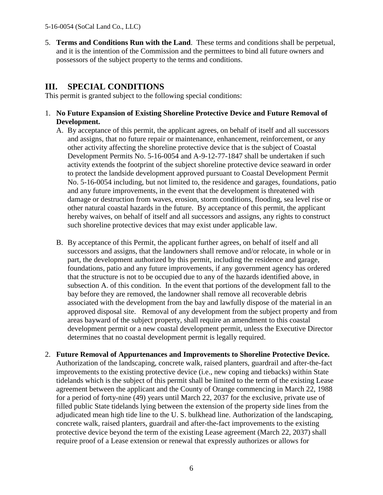5. **Terms and Conditions Run with the Land**. These terms and conditions shall be perpetual, and it is the intention of the Commission and the permittees to bind all future owners and possessors of the subject property to the terms and conditions.

# **III. SPECIAL CONDITIONS**

This permit is granted subject to the following special conditions:

- 1. **No Future Expansion of Existing Shoreline Protective Device and Future Removal of Development.**
	- A. By acceptance of this permit, the applicant agrees, on behalf of itself and all successors and assigns, that no future repair or maintenance, enhancement, reinforcement, or any other activity affecting the shoreline protective device that is the subject of Coastal Development Permits No. 5-16-0054 and A-9-12-77-1847 shall be undertaken if such activity extends the footprint of the subject shoreline protective device seaward in order to protect the landside development approved pursuant to Coastal Development Permit No. 5-16-0054 including, but not limited to, the residence and garages, foundations, patio and any future improvements, in the event that the development is threatened with damage or destruction from waves, erosion, storm conditions, flooding, sea level rise or other natural coastal hazards in the future. By acceptance of this permit, the applicant hereby waives, on behalf of itself and all successors and assigns, any rights to construct such shoreline protective devices that may exist under applicable law.
	- B. By acceptance of this Permit, the applicant further agrees, on behalf of itself and all successors and assigns, that the landowners shall remove and/or relocate, in whole or in part, the development authorized by this permit, including the residence and garage, foundations, patio and any future improvements, if any government agency has ordered that the structure is not to be occupied due to any of the hazards identified above, in subsection A. of this condition. In the event that portions of the development fall to the bay before they are removed, the landowner shall remove all recoverable debris associated with the development from the bay and lawfully dispose of the material in an approved disposal site. Removal of any development from the subject property and from areas bayward of the subject property, shall require an amendment to this coastal development permit or a new coastal development permit, unless the Executive Director determines that no coastal development permit is legally required.
- 2. **Future Removal of Appurtenances and Improvements to Shoreline Protective Device.**  Authorization of the landscaping, concrete walk, raised planters, guardrail and after-the-fact improvements to the existing protective device (i.e., new coping and tiebacks) within State tidelands which is the subject of this permit shall be limited to the term of the existing Lease agreement between the applicant and the County of Orange commencing in March 22, 1988 for a period of forty-nine (49) years until March 22, 2037 for the exclusive, private use of filled public State tidelands lying between the extension of the property side lines from the adjudicated mean high tide line to the U. S. bulkhead line. Authorization of the landscaping, concrete walk, raised planters, guardrail and after-the-fact improvements to the existing protective device beyond the term of the existing Lease agreement (March 22, 2037) shall require proof of a Lease extension or renewal that expressly authorizes or allows for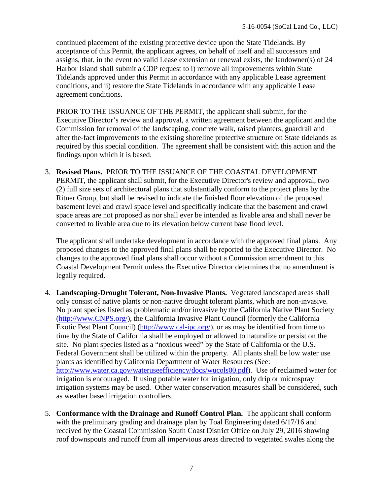continued placement of the existing protective device upon the State Tidelands. By acceptance of this Permit, the applicant agrees, on behalf of itself and all successors and assigns, that, in the event no valid Lease extension or renewal exists, the landowner(s) of 24 Harbor Island shall submit a CDP request to i) remove all improvements within State Tidelands approved under this Permit in accordance with any applicable Lease agreement conditions, and ii) restore the State Tidelands in accordance with any applicable Lease agreement conditions.

PRIOR TO THE ISSUANCE OF THE PERMIT, the applicant shall submit, for the Executive Director's review and approval, a written agreement between the applicant and the Commission for removal of the landscaping, concrete walk, raised planters, guardrail and after the-fact improvements to the existing shoreline protective structure on State tidelands as required by this special condition. The agreement shall be consistent with this action and the findings upon which it is based.

3. **Revised Plans.** PRIOR TO THE ISSUANCE OF THE COASTAL DEVELOPMENT PERMIT, the applicant shall submit, for the Executive Director's review and approval, two (2) full size sets of architectural plans that substantially conform to the project plans by the Ritner Group, but shall be revised to indicate the finished floor elevation of the proposed basement level and crawl space level and specifically indicate that the basement and crawl space areas are not proposed as nor shall ever be intended as livable area and shall never be converted to livable area due to its elevation below current base flood level.

The applicant shall undertake development in accordance with the approved final plans. Any proposed changes to the approved final plans shall be reported to the Executive Director. No changes to the approved final plans shall occur without a Commission amendment to this Coastal Development Permit unless the Executive Director determines that no amendment is legally required.

- 4. **Landscaping-Drought Tolerant, Non-Invasive Plants.** Vegetated landscaped areas shall only consist of native plants or non-native drought tolerant plants, which are non-invasive. No plant species listed as problematic and/or invasive by the California Native Plant Society [\(http://www.CNPS.org/\)](http://www.cnps.org/), the California Invasive Plant Council (formerly the California Exotic Pest Plant Council) [\(http://www.cal-ipc.org/\)](http://www.cal-ipc.org/), or as may be identified from time to time by the State of California shall be employed or allowed to naturalize or persist on the site. No plant species listed as a "noxious weed" by the State of California or the U.S. Federal Government shall be utilized within the property. All plants shall be low water use plants as identified by California Department of Water Resources (See: [http://www.water.ca.gov/wateruseefficiency/docs/wucols00.pdf\)](http://www.water.ca.gov/wateruseefficiency/docs/wucols00.pdf). Use of reclaimed water for irrigation is encouraged. If using potable water for irrigation, only drip or microspray irrigation systems may be used. Other water conservation measures shall be considered, such as weather based irrigation controllers.
- 5. **Conformance with the Drainage and Runoff Control Plan.** The applicant shall conform with the preliminary grading and drainage plan by Toal Engineering dated 6/17/16 and received by the Coastal Commission South Coast District Office on July 29, 2016 showing roof downspouts and runoff from all impervious areas directed to vegetated swales along the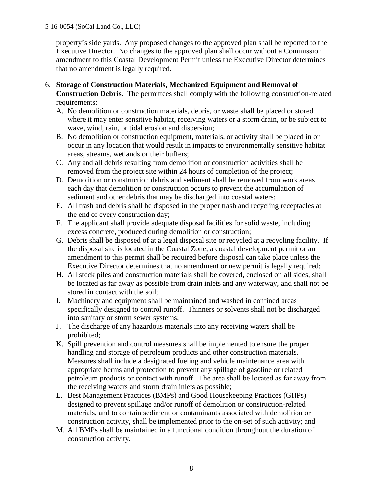property's side yards. Any proposed changes to the approved plan shall be reported to the Executive Director. No changes to the approved plan shall occur without a Commission amendment to this Coastal Development Permit unless the Executive Director determines that no amendment is legally required.

- 6. **Storage of Construction Materials, Mechanized Equipment and Removal of Construction Debris.** The permittees shall comply with the following construction-related requirements:
	- A. No demolition or construction materials, debris, or waste shall be placed or stored where it may enter sensitive habitat, receiving waters or a storm drain, or be subject to wave, wind, rain, or tidal erosion and dispersion;
	- B. No demolition or construction equipment, materials, or activity shall be placed in or occur in any location that would result in impacts to environmentally sensitive habitat areas, streams, wetlands or their buffers;
	- C. Any and all debris resulting from demolition or construction activities shall be removed from the project site within 24 hours of completion of the project;
	- D. Demolition or construction debris and sediment shall be removed from work areas each day that demolition or construction occurs to prevent the accumulation of sediment and other debris that may be discharged into coastal waters;
	- E. All trash and debris shall be disposed in the proper trash and recycling receptacles at the end of every construction day;
	- F. The applicant shall provide adequate disposal facilities for solid waste, including excess concrete, produced during demolition or construction;
	- G. Debris shall be disposed of at a legal disposal site or recycled at a recycling facility. If the disposal site is located in the Coastal Zone, a coastal development permit or an amendment to this permit shall be required before disposal can take place unless the Executive Director determines that no amendment or new permit is legally required;
	- H. All stock piles and construction materials shall be covered, enclosed on all sides, shall be located as far away as possible from drain inlets and any waterway, and shall not be stored in contact with the soil;
	- I. Machinery and equipment shall be maintained and washed in confined areas specifically designed to control runoff. Thinners or solvents shall not be discharged into sanitary or storm sewer systems;
	- J. The discharge of any hazardous materials into any receiving waters shall be prohibited;
	- K. Spill prevention and control measures shall be implemented to ensure the proper handling and storage of petroleum products and other construction materials. Measures shall include a designated fueling and vehicle maintenance area with appropriate berms and protection to prevent any spillage of gasoline or related petroleum products or contact with runoff. The area shall be located as far away from the receiving waters and storm drain inlets as possible;
	- L. Best Management Practices (BMPs) and Good Housekeeping Practices (GHPs) designed to prevent spillage and/or runoff of demolition or construction-related materials, and to contain sediment or contaminants associated with demolition or construction activity, shall be implemented prior to the on-set of such activity; and
	- M. All BMPs shall be maintained in a functional condition throughout the duration of construction activity.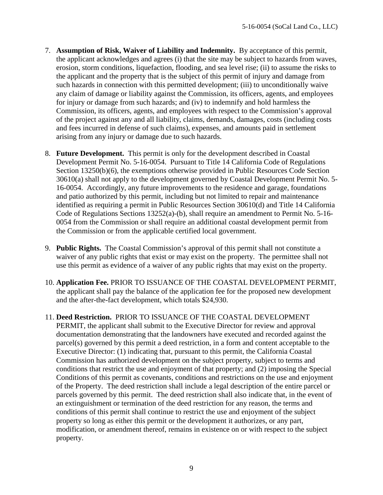- 7. **Assumption of Risk, Waiver of Liability and Indemnity.** By acceptance of this permit, the applicant acknowledges and agrees (i) that the site may be subject to hazards from waves, erosion, storm conditions, liquefaction, flooding, and sea level rise; (ii) to assume the risks to the applicant and the property that is the subject of this permit of injury and damage from such hazards in connection with this permitted development; (iii) to unconditionally waive any claim of damage or liability against the Commission, its officers, agents, and employees for injury or damage from such hazards; and (iv) to indemnify and hold harmless the Commission, its officers, agents, and employees with respect to the Commission's approval of the project against any and all liability, claims, demands, damages, costs (including costs and fees incurred in defense of such claims), expenses, and amounts paid in settlement arising from any injury or damage due to such hazards.
- 8. **Future Development.** This permit is only for the development described in Coastal Development Permit No. 5-16-0054. Pursuant to Title 14 California Code of Regulations Section 13250(b)(6), the exemptions otherwise provided in Public Resources Code Section 30610(a) shall not apply to the development governed by Coastal Development Permit No. 5- 16-0054. Accordingly, any future improvements to the residence and garage, foundations and patio authorized by this permit, including but not limited to repair and maintenance identified as requiring a permit in Public Resources Section 30610(d) and Title 14 California Code of Regulations Sections 13252(a)-(b), shall require an amendment to Permit No. 5-16- 0054 from the Commission or shall require an additional coastal development permit from the Commission or from the applicable certified local government.
- 9. **Public Rights.** The Coastal Commission's approval of this permit shall not constitute a waiver of any public rights that exist or may exist on the property. The permittee shall not use this permit as evidence of a waiver of any public rights that may exist on the property.
- 10. **Application Fee.** PRIOR TO ISSUANCE OF THE COASTAL DEVELOPMENT PERMIT, the applicant shall pay the balance of the application fee for the proposed new development and the after-the-fact development, which totals \$24,930.
- 11. **Deed Restriction.** PRIOR TO ISSUANCE OF THE COASTAL DEVELOPMENT PERMIT, the applicant shall submit to the Executive Director for review and approval documentation demonstrating that the landowners have executed and recorded against the parcel(s) governed by this permit a deed restriction, in a form and content acceptable to the Executive Director: (1) indicating that, pursuant to this permit, the California Coastal Commission has authorized development on the subject property, subject to terms and conditions that restrict the use and enjoyment of that property; and (2) imposing the Special Conditions of this permit as covenants, conditions and restrictions on the use and enjoyment of the Property. The deed restriction shall include a legal description of the entire parcel or parcels governed by this permit. The deed restriction shall also indicate that, in the event of an extinguishment or termination of the deed restriction for any reason, the terms and conditions of this permit shall continue to restrict the use and enjoyment of the subject property so long as either this permit or the development it authorizes, or any part, modification, or amendment thereof, remains in existence on or with respect to the subject property.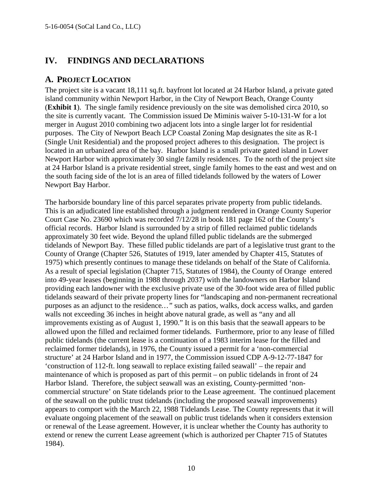# **IV. FINDINGS AND DECLARATIONS**

# **A. PROJECT LOCATION**

The project site is a vacant 18,111 sq.ft. bayfront lot located at 24 Harbor Island, a private gated island community within Newport Harbor, in the City of Newport Beach, Orange County (**Exhibit 1**). The single family residence previously on the site was demolished circa 2010, so the site is currently vacant. The Commission issued De Miminis waiver 5-10-131-W for a lot merger in August 2010 combining two adjacent lots into a single larger lot for residential purposes. The City of Newport Beach LCP Coastal Zoning Map designates the site as R-1 (Single Unit Residential) and the proposed project adheres to this designation. The project is located in an urbanized area of the bay. Harbor Island is a small private gated island in Lower Newport Harbor with approximately 30 single family residences. To the north of the project site at 24 Harbor Island is a private residential street, single family homes to the east and west and on the south facing side of the lot is an area of filled tidelands followed by the waters of Lower Newport Bay Harbor.

The harborside boundary line of this parcel separates private property from public tidelands. This is an adjudicated line established through a judgment rendered in Orange County Superior Court Case No. 23690 which was recorded 7/12/28 in book 181 page 162 of the County's official records. Harbor Island is surrounded by a strip of filled reclaimed public tidelands approximately 30 feet wide. Beyond the upland filled public tidelands are the submerged tidelands of Newport Bay. These filled public tidelands are part of a legislative trust grant to the County of Orange (Chapter 526, Statutes of 1919, later amended by Chapter 415, Statutes of 1975) which presently continues to manage these tidelands on behalf of the State of California. As a result of special legislation (Chapter 715, Statutes of 1984), the County of Orange entered into 49-year leases (beginning in 1988 through 2037) with the landowners on Harbor Island providing each landowner with the exclusive private use of the 30-foot wide area of filled public tidelands seaward of their private property lines for "landscaping and non-permanent recreational purposes as an adjunct to the residence*…"* such as patios, walks, dock access walks, and garden walls not exceeding 36 inches in height above natural grade, as well as "any and all improvements existing as of August 1, 1990." It is on this basis that the seawall appears to be allowed upon the filled and reclaimed former tidelands. Furthermore, prior to any lease of filled public tidelands (the current lease is a continuation of a 1983 interim lease for the filled and reclaimed former tidelands), in 1976, the County issued a permit for a 'non-commercial structure' at 24 Harbor Island and in 1977, the Commission issued CDP A-9-12-77-1847 for 'construction of 112-ft. long seawall to replace existing failed seawall' – the repair and maintenance of which is proposed as part of this permit – on public tidelands in front of 24 Harbor Island. Therefore, the subject seawall was an existing, County-permitted 'noncommercial structure' on State tidelands prior to the Lease agreement. The continued placement of the seawall on the public trust tidelands (including the proposed seawall improvements) appears to comport with the March 22, 1988 Tidelands Lease. The County represents that it will evaluate ongoing placement of the seawall on public trust tidelands when it considers extension or renewal of the Lease agreement. However, it is unclear whether the County has authority to extend or renew the current Lease agreement (which is authorized per Chapter 715 of Statutes 1984).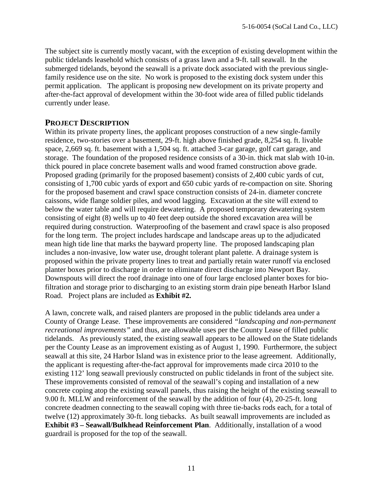The subject site is currently mostly vacant, with the exception of existing development within the public tidelands leasehold which consists of a grass lawn and a 9-ft. tall seawall. In the submerged tidelands, beyond the seawall is a private dock associated with the previous singlefamily residence use on the site. No work is proposed to the existing dock system under this permit application. The applicant is proposing new development on its private property and after-the-fact approval of development within the 30-foot wide area of filled public tidelands currently under lease.

### **PROJECT DESCRIPTION**

Within its private property lines, the applicant proposes construction of a new single-family residence, two-stories over a basement, 29-ft. high above finished grade, 8,254 sq. ft. livable space, 2,669 sq. ft. basement with a 1,504 sq. ft. attached 3-car garage, golf cart garage, and storage. The foundation of the proposed residence consists of a 30-in. thick mat slab with 10-in. thick poured in place concrete basement walls and wood framed construction above grade. Proposed grading (primarily for the proposed basement) consists of 2,400 cubic yards of cut, consisting of 1,700 cubic yards of export and 650 cubic yards of re-compaction on site. Shoring for the proposed basement and crawl space construction consists of 24-in. diameter concrete caissons, wide flange soldier piles, and wood lagging. Excavation at the site will extend to below the water table and will require dewatering. A proposed temporary dewatering system consisting of eight (8) wells up to 40 feet deep outside the shored excavation area will be required during construction. Waterproofing of the basement and crawl space is also proposed for the long term. The project includes hardscape and landscape areas up to the adjudicated mean high tide line that marks the bayward property line. The proposed landscaping plan includes a non-invasive, low water use, drought tolerant plant palette. A drainage system is proposed within the private property lines to treat and partially retain water runoff via enclosed planter boxes prior to discharge in order to eliminate direct discharge into Newport Bay. Downspouts will direct the roof drainage into one of four large enclosed planter boxes for biofiltration and storage prior to discharging to an existing storm drain pipe beneath Harbor Island Road. Project plans are included as **Exhibit #2.** 

A lawn, concrete walk, and raised planters are proposed in the public tidelands area under a County of Orange Lease. These improvements are considered *"landscaping and non-permanent recreational improvements"* and thus, are allowable uses per the County Lease of filled public tidelands. As previously stated, the existing seawall appears to be allowed on the State tidelands per the County Lease as an improvement existing as of August 1, 1990. Furthermore, the subject seawall at this site, 24 Harbor Island was in existence prior to the lease agreement. Additionally, the applicant is requesting after-the-fact approval for improvements made circa 2010 to the existing 112' long seawall previously constructed on public tidelands in front of the subject site. These improvements consisted of removal of the seawall's coping and installation of a new concrete coping atop the existing seawall panels, thus raising the height of the existing seawall to 9.00 ft. MLLW and reinforcement of the seawall by the addition of four (4), 20-25-ft. long concrete deadmen connecting to the seawall coping with three tie-backs rods each, for a total of twelve (12) approximately 30-ft. long tiebacks. As built seawall improvements are included as **Exhibit #3 – Seawall/Bulkhead Reinforcement Plan**. Additionally, installation of a wood guardrail is proposed for the top of the seawall.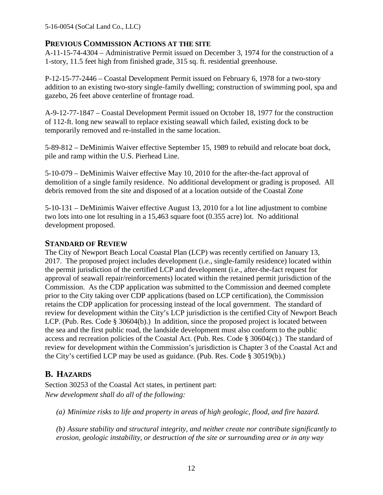## **PREVIOUS COMMISSION ACTIONS AT THE SITE**

A-11-15-74-4304 – Administrative Permit issued on December 3, 1974 for the construction of a 1-story, 11.5 feet high from finished grade, 315 sq. ft. residential greenhouse.

P-12-15-77-2446 – Coastal Development Permit issued on February 6, 1978 for a two-story addition to an existing two-story single-family dwelling; construction of swimming pool, spa and gazebo, 26 feet above centerline of frontage road.

A-9-12-77-1847 – Coastal Development Permit issued on October 18, 1977 for the construction of 112-ft. long new seawall to replace existing seawall which failed, existing dock to be temporarily removed and re-installed in the same location.

5-89-812 – DeMinimis Waiver effective September 15, 1989 to rebuild and relocate boat dock, pile and ramp within the U.S. Pierhead Line.

5-10-079 – DeMinimis Waiver effective May 10, 2010 for the after-the-fact approval of demolition of a single family residence. No additional development or grading is proposed. All debris removed from the site and disposed of at a location outside of the Coastal Zone

5-10-131 – DeMinimis Waiver effective August 13, 2010 for a lot line adjustment to combine two lots into one lot resulting in a 15,463 square foot (0.355 acre) lot. No additional development proposed.

### **STANDARD OF REVIEW**

The City of Newport Beach Local Coastal Plan (LCP) was recently certified on January 13, 2017. The proposed project includes development (i.e., single-family residence) located within the permit jurisdiction of the certified LCP and development (i.e., after-the-fact request for approval of seawall repair/reinforcements) located within the retained permit jurisdiction of the Commission. As the CDP application was submitted to the Commission and deemed complete prior to the City taking over CDP applications (based on LCP certification), the Commission retains the CDP application for processing instead of the local government. The standard of review for development within the City's LCP jurisdiction is the certified City of Newport Beach LCP. (Pub. Res. Code § 30604(b).) In addition, since the proposed project is located between the sea and the first public road, the landside development must also conform to the public access and recreation policies of the Coastal Act. (Pub. Res. Code § 30604(c).) The standard of review for development within the Commission's jurisdiction is Chapter 3 of the Coastal Act and the City's certified LCP may be used as guidance. (Pub. Res. Code § 30519(b).)

# **B. HAZARDS**

Section 30253 of the Coastal Act states, in pertinent part: *New development shall do all of the following:* 

*(a) Minimize risks to life and property in areas of high geologic, flood, and fire hazard.* 

*(b) Assure stability and structural integrity, and neither create nor contribute significantly to erosion, geologic instability, or destruction of the site or surrounding area or in any way*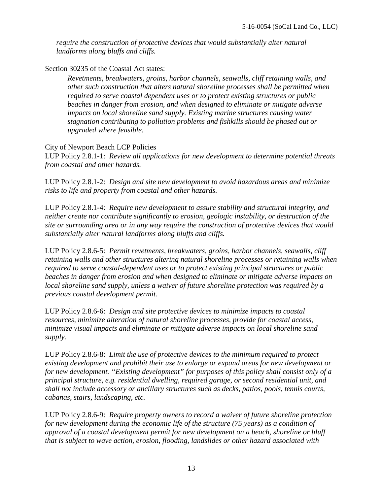*require the construction of protective devices that would substantially alter natural landforms along bluffs and cliffs.* 

Section 30235 of the Coastal Act states:

*Revetments, breakwaters, groins, harbor channels, seawalls, cliff retaining walls, and other such construction that alters natural shoreline processes shall be permitted when required to serve coastal dependent uses or to protect existing structures or public beaches in danger from erosion, and when designed to eliminate or mitigate adverse impacts on local shoreline sand supply. Existing marine structures causing water stagnation contributing to pollution problems and fishkills should be phased out or upgraded where feasible.* 

### City of Newport Beach LCP Policies

LUP Policy 2.8.1-1: *Review all applications for new development to determine potential threats from coastal and other hazards.* 

LUP Policy 2.8.1-2: *Design and site new development to avoid hazardous areas and minimize risks to life and property from coastal and other hazards.*

LUP Policy 2.8.1-4: *Require new development to assure stability and structural integrity, and neither create nor contribute significantly to erosion, geologic instability, or destruction of the site or surrounding area or in any way require the construction of protective devices that would substantially alter natural landforms along bluffs and cliffs.*

LUP Policy 2.8.6-5: *Permit revetments, breakwaters, groins, harbor channels, seawalls, cliff retaining walls and other structures altering natural shoreline processes or retaining walls when required to serve coastal-dependent uses or to protect existing principal structures or public beaches in danger from erosion and when designed to eliminate or mitigate adverse impacts on local shoreline sand supply, unless a waiver of future shoreline protection was required by a previous coastal development permit.*

LUP Policy 2.8.6-6: *Design and site protective devices to minimize impacts to coastal resources, minimize alteration of natural shoreline processes, provide for coastal access, minimize visual impacts and eliminate or mitigate adverse impacts on local shoreline sand supply.*

LUP Policy 2.8.6-8: *Limit the use of protective devices to the minimum required to protect existing development and prohibit their use to enlarge or expand areas for new development or for new development. "Existing development" for purposes of this policy shall consist only of a principal structure, e.g. residential dwelling, required garage, or second residential unit, and shall not include accessory or ancillary structures such as decks, patios, pools, tennis courts, cabanas, stairs, landscaping, etc.*

LUP Policy 2.8.6-9: *Require property owners to record a waiver of future shoreline protection for new development during the economic life of the structure (75 years) as a condition of approval of a coastal development permit for new development on a beach, shoreline or bluff that is subject to wave action, erosion, flooding, landslides or other hazard associated with*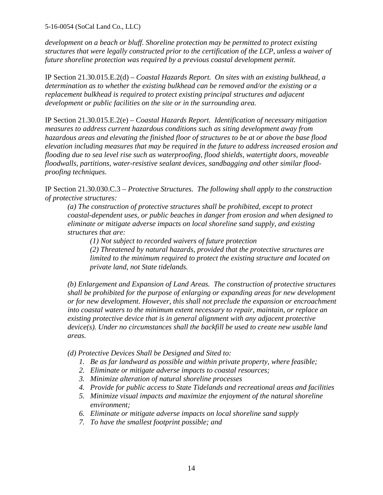*development on a beach or bluff. Shoreline protection may be permitted to protect existing structures that were legally constructed prior to the certification of the LCP, unless a waiver of future shoreline protection was required by a previous coastal development permit.*

IP Section 21.30.015.E.2(d) *– Coastal Hazards Report. On sites with an existing bulkhead, a determination as to whether the existing bulkhead can be removed and/or the existing or a replacement bulkhead is required to protect existing principal structures and adjacent development or public facilities on the site or in the surrounding area.* 

IP Section 21.30.015.E.2(e) *– Coastal Hazards Report. Identification of necessary mitigation measures to address current hazardous conditions such as siting development away from hazardous areas and elevating the finished floor of structures to be at or above the base flood elevation including measures that may be required in the future to address increased erosion and flooding due to sea level rise such as waterproofing, flood shields, watertight doors, moveable floodwalls, partitions, water-resistive sealant devices, sandbagging and other similar floodproofing techniques.* 

IP Section 21.30.030.C.3 – *Protective Structures. The following shall apply to the construction of protective structures:*

*(a) The construction of protective structures shall be prohibited, except to protect coastal-dependent uses, or public beaches in danger from erosion and when designed to eliminate or mitigate adverse impacts on local shoreline sand supply, and existing structures that are:* 

 *(1) Not subject to recorded waivers of future protection* 

*(2) Threatened by natural hazards, provided that the protective structures are limited to the minimum required to protect the existing structure and located on private land, not State tidelands.* 

*(b) Enlargement and Expansion of Land Areas. The construction of protective structures shall be prohibited for the purpose of enlarging or expanding areas for new development or for new development. However, this shall not preclude the expansion or encroachment into coastal waters to the minimum extent necessary to repair, maintain, or replace an existing protective device that is in general alignment with any adjacent protective device(s). Under no circumstances shall the backfill be used to create new usable land areas.*

*(d) Protective Devices Shall be Designed and Sited to:*

- *1. Be as far landward as possible and within private property, where feasible;*
- *2. Eliminate or mitigate adverse impacts to coastal resources;*
- *3. Minimize alteration of natural shoreline processes*
- *4. Provide for public access to State Tidelands and recreational areas and facilities*
- *5. Minimize visual impacts and maximize the enjoyment of the natural shoreline environment;*
- *6. Eliminate or mitigate adverse impacts on local shoreline sand supply*
- *7. To have the smallest footprint possible; and*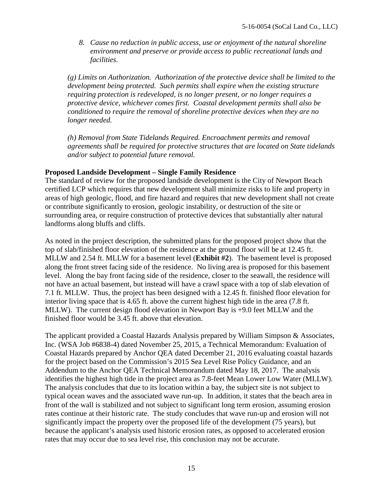*8. Cause no reduction in public access, use or enjoyment of the natural shoreline environment and preserve or provide access to public recreational lands and facilities.*

*(g) Limits on Authorization. Authorization of the protective device shall be limited to the development being protected. Such permits shall expire when the existing structure requiring protection is redeveloped, is no longer present, or no longer requires a protective device, whichever comes first. Coastal development permits shall also be conditioned to require the removal of shoreline protective devices when they are no longer needed.* 

*(h) Removal from State Tidelands Required. Encroachment permits and removal agreements shall be required for protective structures that are located on State tidelands and/or subject to potential future removal.* 

#### **Proposed Landside Development – Single Family Residence**

The standard of review for the proposed landside development is the City of Newport Beach certified LCP which requires that new development shall minimize risks to life and property in areas of high geologic, flood, and fire hazard and requires that new development shall not create or contribute significantly to erosion, geologic instability, or destruction of the site or surrounding area, or require construction of protective devices that substantially alter natural landforms along bluffs and cliffs.

As noted in the project description, the submitted plans for the proposed project show that the top of slab/finished floor elevation of the residence at the ground floor will be at 12.45 ft. MLLW and 2.54 ft. MLLW for a basement level (**Exhibit #2**). The basement level is proposed along the front street facing side of the residence. No living area is proposed for this basement level. Along the bay front facing side of the residence, closer to the seawall, the residence will not have an actual basement, but instead will have a crawl space with a top of slab elevation of 7.1 ft. MLLW. Thus, the project has been designed with a 12.45 ft. finished floor elevation for interior living space that is 4.65 ft. above the current highest high tide in the area (7.8 ft. MLLW). The current design flood elevation in Newport Bay is +9.0 feet MLLW and the finished floor would be 3.45 ft. above that elevation.

The applicant provided a Coastal Hazards Analysis prepared by William Simpson & Associates, Inc. (WSA Job #6838-4) dated November 25, 2015, a Technical Memorandum: Evaluation of Coastal Hazards prepared by Anchor QEA dated December 21, 2016 evaluating coastal hazards for the project based on the Commission's 2015 Sea Level Rise Policy Guidance, and an Addendum to the Anchor QEA Technical Memorandum dated May 18, 2017. The analysis identifies the highest high tide in the project area as 7.8-feet Mean Lower Low Water (MLLW). The analysis concludes that due to its location within a bay, the subject site is not subject to typical ocean waves and the associated wave run-up. In addition, it states that the beach area in front of the wall is stabilized and not subject to significant long term erosion, assuming erosion rates continue at their historic rate. The study concludes that wave run-up and erosion will not significantly impact the property over the proposed life of the development (75 years), but because the applicant's analysis used historic erosion rates, as opposed to accelerated erosion rates that may occur due to sea level rise, this conclusion may not be accurate.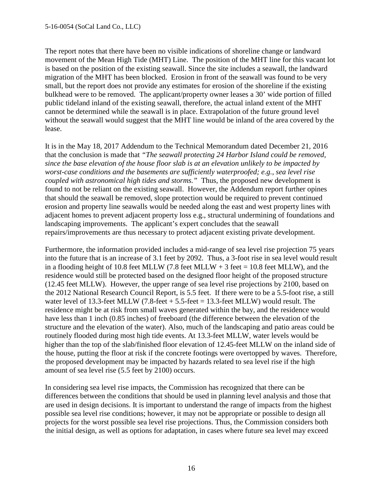The report notes that there have been no visible indications of shoreline change or landward movement of the Mean High Tide (MHT) Line. The position of the MHT line for this vacant lot is based on the position of the existing seawall. Since the site includes a seawall, the landward migration of the MHT has been blocked. Erosion in front of the seawall was found to be very small, but the report does not provide any estimates for erosion of the shoreline if the existing bulkhead were to be removed. The applicant/property owner leases a 30' wide portion of filled public tideland inland of the existing seawall, therefore, the actual inland extent of the MHT cannot be determined while the seawall is in place. Extrapolation of the future ground level without the seawall would suggest that the MHT line would be inland of the area covered by the lease.

It is in the May 18, 2017 Addendum to the Technical Memorandum dated December 21, 2016 that the conclusion is made that *"The seawall protecting 24 Harbor Island could be removed, since the base elevation of the house floor slab is at an elevation unlikely to be impacted by worst-case conditions and the basements are sufficiently waterproofed; e.g., sea level rise coupled with astronomical high tides and storms."* Thus, the proposed new development is found to not be reliant on the existing seawall. However, the Addendum report further opines that should the seawall be removed, slope protection would be required to prevent continued erosion and property line seawalls would be needed along the east and west property lines with adjacent homes to prevent adjacent property loss e.g., structural undermining of foundations and landscaping improvements. The applicant's expert concludes that the seawall repairs/improvements are thus necessary to protect adjacent existing private development.

Furthermore, the information provided includes a mid-range of sea level rise projection 75 years into the future that is an increase of 3.1 feet by 2092. Thus, a 3-foot rise in sea level would result in a flooding height of 10.8 feet MLLW (7.8 feet MLLW + 3 feet = 10.8 feet MLLW), and the residence would still be protected based on the designed floor height of the proposed structure (12.45 feet MLLW). However, the upper range of sea level rise projections by 2100, based on the 2012 National Research Council Report, is 5.5 feet. If there were to be a 5.5-foot rise, a still water level of 13.3-feet MLLW  $(7.8\text{-} feet + 5.5\text{-} feet = 13.3\text{-} feet MLLW)$  would result. The residence might be at risk from small waves generated within the bay, and the residence would have less than 1 inch (0.85 inches) of freeboard (the difference between the elevation of the structure and the elevation of the water). Also, much of the landscaping and patio areas could be routinely flooded during most high tide events. At 13.3-feet MLLW, water levels would be higher than the top of the slab/finished floor elevation of 12.45-feet MLLW on the inland side of the house, putting the floor at risk if the concrete footings were overtopped by waves. Therefore, the proposed development may be impacted by hazards related to sea level rise if the high amount of sea level rise (5.5 feet by 2100) occurs.

In considering sea level rise impacts, the Commission has recognized that there can be differences between the conditions that should be used in planning level analysis and those that are used in design decisions. It is important to understand the range of impacts from the highest possible sea level rise conditions; however, it may not be appropriate or possible to design all projects for the worst possible sea level rise projections. Thus, the Commission considers both the initial design, as well as options for adaptation, in cases where future sea level may exceed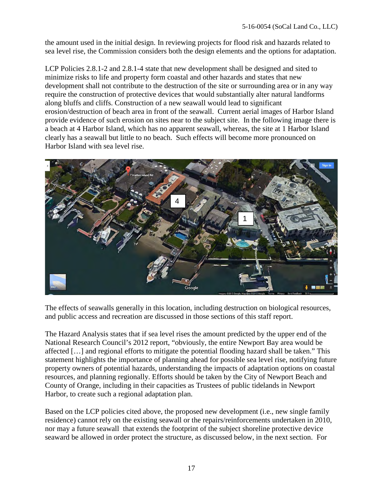the amount used in the initial design. In reviewing projects for flood risk and hazards related to sea level rise, the Commission considers both the design elements and the options for adaptation.

LCP Policies 2.8.1-2 and 2.8.1-4 state that new development shall be designed and sited to minimize risks to life and property form coastal and other hazards and states that new development shall not contribute to the destruction of the site or surrounding area or in any way require the construction of protective devices that would substantially alter natural landforms along bluffs and cliffs. Construction of a new seawall would lead to significant erosion/destruction of beach area in front of the seawall. Current aerial images of Harbor Island provide evidence of such erosion on sites near to the subject site. In the following image there is a beach at 4 Harbor Island, which has no apparent seawall, whereas, the site at 1 Harbor Island clearly has a seawall but little to no beach. Such effects will become more pronounced on Harbor Island with sea level rise.



The effects of seawalls generally in this location, including destruction on biological resources, and public access and recreation are discussed in those sections of this staff report.

The Hazard Analysis states that if sea level rises the amount predicted by the upper end of the National Research Council's 2012 report, "obviously, the entire Newport Bay area would be affected […] and regional efforts to mitigate the potential flooding hazard shall be taken." This statement highlights the importance of planning ahead for possible sea level rise, notifying future property owners of potential hazards, understanding the impacts of adaptation options on coastal resources, and planning regionally. Efforts should be taken by the City of Newport Beach and County of Orange, including in their capacities as Trustees of public tidelands in Newport Harbor, to create such a regional adaptation plan.

Based on the LCP policies cited above, the proposed new development (i.e., new single family residence) cannot rely on the existing seawall or the repairs/reinforcements undertaken in 2010, nor may a future seawall that extends the footprint of the subject shoreline protective device seaward be allowed in order protect the structure, as discussed below, in the next section. For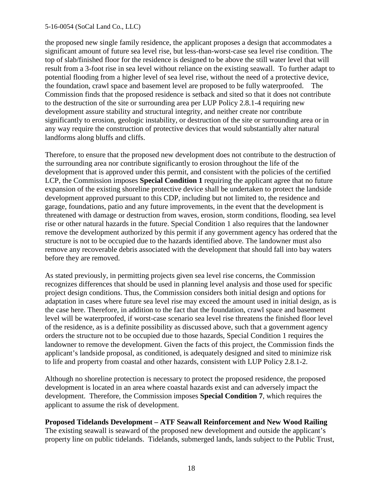the proposed new single family residence, the applicant proposes a design that accommodates a significant amount of future sea level rise, but less-than-worst-case sea level rise condition. The top of slab/finished floor for the residence is designed to be above the still water level that will result from a 3-foot rise in sea level without reliance on the existing seawall. To further adapt to potential flooding from a higher level of sea level rise, without the need of a protective device, the foundation, crawl space and basement level are proposed to be fully waterproofed. The Commission finds that the proposed residence is setback and sited so that it does not contribute to the destruction of the site or surrounding area per LUP Policy 2.8.1-4 requiring new development assure stability and structural integrity, and neither create nor contribute significantly to erosion, geologic instability, or destruction of the site or surrounding area or in any way require the construction of protective devices that would substantially alter natural landforms along bluffs and cliffs.

Therefore, to ensure that the proposed new development does not contribute to the destruction of the surrounding area nor contribute significantly to erosion throughout the life of the development that is approved under this permit, and consistent with the policies of the certified LCP, the Commission imposes **Special Condition 1** requiring the applicant agree that no future expansion of the existing shoreline protective device shall be undertaken to protect the landside development approved pursuant to this CDP, including but not limited to, the residence and garage, foundations, patio and any future improvements, in the event that the development is threatened with damage or destruction from waves, erosion, storm conditions, flooding, sea level rise or other natural hazards in the future. Special Condition 1 also requires that the landowner remove the development authorized by this permit if any government agency has ordered that the structure is not to be occupied due to the hazards identified above. The landowner must also remove any recoverable debris associated with the development that should fall into bay waters before they are removed.

As stated previously, in permitting projects given sea level rise concerns, the Commission recognizes differences that should be used in planning level analysis and those used for specific project design conditions. Thus, the Commission considers both initial design and options for adaptation in cases where future sea level rise may exceed the amount used in initial design, as is the case here. Therefore, in addition to the fact that the foundation, crawl space and basement level will be waterproofed, if worst-case scenario sea level rise threatens the finished floor level of the residence, as is a definite possibility as discussed above, such that a government agency orders the structure not to be occupied due to those hazards, Special Condition 1 requires the landowner to remove the development. Given the facts of this project, the Commission finds the applicant's landside proposal, as conditioned, is adequately designed and sited to minimize risk to life and property from coastal and other hazards, consistent with LUP Policy 2.8.1-2.

Although no shoreline protection is necessary to protect the proposed residence, the proposed development is located in an area where coastal hazards exist and can adversely impact the development. Therefore, the Commission imposes **Special Condition 7**, which requires the applicant to assume the risk of development.

**Proposed Tidelands Development – ATF Seawall Reinforcement and New Wood Railing**  The existing seawall is seaward of the proposed new development and outside the applicant's property line on public tidelands. Tidelands, submerged lands, lands subject to the Public Trust,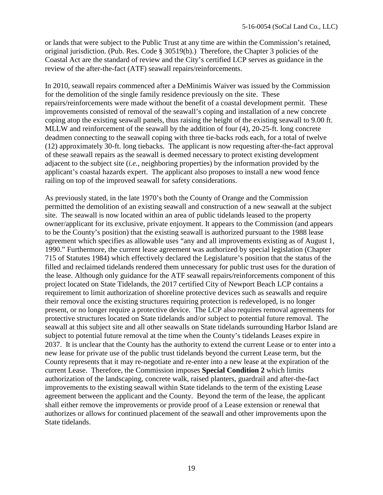or lands that were subject to the Public Trust at any time are within the Commission's retained, original jurisdiction. (Pub. Res. Code § 30519(b).) Therefore, the Chapter 3 policies of the Coastal Act are the standard of review and the City's certified LCP serves as guidance in the review of the after-the-fact (ATF) seawall repairs/reinforcements.

In 2010, seawall repairs commenced after a DeMinimis Waiver was issued by the Commission for the demolition of the single family residence previously on the site. These repairs/reinforcements were made without the benefit of a coastal development permit. These improvements consisted of removal of the seawall's coping and installation of a new concrete coping atop the existing seawall panels, thus raising the height of the existing seawall to 9.00 ft. MLLW and reinforcement of the seawall by the addition of four (4), 20-25-ft. long concrete deadmen connecting to the seawall coping with three tie-backs rods each, for a total of twelve (12) approximately 30-ft. long tiebacks. The applicant is now requesting after-the-fact approval of these seawall repairs as the seawall is deemed necessary to protect existing development adjacent to the subject site (*i.e.*, neighboring properties) by the information provided by the applicant's coastal hazards expert. The applicant also proposes to install a new wood fence railing on top of the improved seawall for safety considerations.

As previously stated, in the late 1970's both the County of Orange and the Commission permitted the demolition of an existing seawall and construction of a new seawall at the subject site. The seawall is now located within an area of public tidelands leased to the property owner/applicant for its exclusive, private enjoyment. It appears to the Commission (and appears to be the County's position) that the existing seawall is authorized pursuant to the 1988 lease agreement which specifies as allowable uses "any and all improvements existing as of August 1, 1990." Furthermore, the current lease agreement was authorized by special legislation (Chapter 715 of Statutes 1984) which effectively declared the Legislature's position that the status of the filled and reclaimed tidelands rendered them unnecessary for public trust uses for the duration of the lease. Although only guidance for the ATF seawall repairs/reinforcements component of this project located on State Tidelands, the 2017 certified City of Newport Beach LCP contains a requirement to limit authorization of shoreline protective devices such as seawalls and require their removal once the existing structures requiring protection is redeveloped, is no longer present, or no longer require a protective device. The LCP also requires removal agreements for protective structures located on State tidelands and/or subject to potential future removal. The seawall at this subject site and all other seawalls on State tidelands surrounding Harbor Island are subject to potential future removal at the time when the County's tidelands Leases expire in 2037. It is unclear that the County has the authority to extend the current Lease or to enter into a new lease for private use of the public trust tidelands beyond the current Lease term, but the County represents that it may re-negotiate and re-enter into a new lease at the expiration of the current Lease. Therefore, the Commission imposes **Special Condition 2** which limits authorization of the landscaping, concrete walk, raised planters, guardrail and after-the-fact improvements to the existing seawall within State tidelands to the term of the existing Lease agreement between the applicant and the County. Beyond the term of the lease, the applicant shall either remove the improvements or provide proof of a Lease extension or renewal that authorizes or allows for continued placement of the seawall and other improvements upon the State tidelands.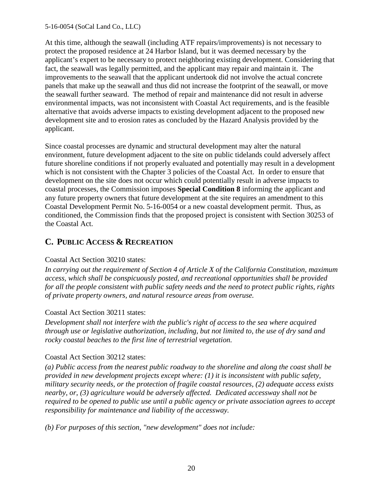At this time, although the seawall (including ATF repairs/improvements) is not necessary to protect the proposed residence at 24 Harbor Island, but it was deemed necessary by the applicant's expert to be necessary to protect neighboring existing development. Considering that fact, the seawall was legally permitted, and the applicant may repair and maintain it. The improvements to the seawall that the applicant undertook did not involve the actual concrete panels that make up the seawall and thus did not increase the footprint of the seawall, or move the seawall further seaward. The method of repair and maintenance did not result in adverse environmental impacts, was not inconsistent with Coastal Act requirements, and is the feasible alternative that avoids adverse impacts to existing development adjacent to the proposed new development site and to erosion rates as concluded by the Hazard Analysis provided by the applicant.

Since coastal processes are dynamic and structural development may alter the natural environment, future development adjacent to the site on public tidelands could adversely affect future shoreline conditions if not properly evaluated and potentially may result in a development which is not consistent with the Chapter 3 policies of the Coastal Act. In order to ensure that development on the site does not occur which could potentially result in adverse impacts to coastal processes, the Commission imposes **Special Condition 8** informing the applicant and any future property owners that future development at the site requires an amendment to this Coastal Development Permit No. 5-16-0054 or a new coastal development permit. Thus, as conditioned, the Commission finds that the proposed project is consistent with Section 30253 of the Coastal Act.

# **C. PUBLIC ACCESS & RECREATION**

### Coastal Act Section 30210 states:

*In carrying out the requirement of Section 4 of Article X of the California Constitution, maximum access, which shall be conspicuously posted, and recreational opportunities shall be provided for all the people consistent with public safety needs and the need to protect public rights, rights of private property owners, and natural resource areas from overuse.*

### Coastal Act Section 30211 states:

*Development shall not interfere with the public's right of access to the sea where acquired through use or legislative authorization, including, but not limited to, the use of dry sand and rocky coastal beaches to the first line of terrestrial vegetation.*

### Coastal Act Section 30212 states:

*(a) Public access from the nearest public roadway to the shoreline and along the coast shall be provided in new development projects except where: (1) it is inconsistent with public safety, military security needs, or the protection of fragile coastal resources, (2) adequate access exists nearby, or, (3) agriculture would be adversely affected. Dedicated accessway shall not be required to be opened to public use until a public agency or private association agrees to accept responsibility for maintenance and liability of the accessway.* 

*(b) For purposes of this section, "new development" does not include:*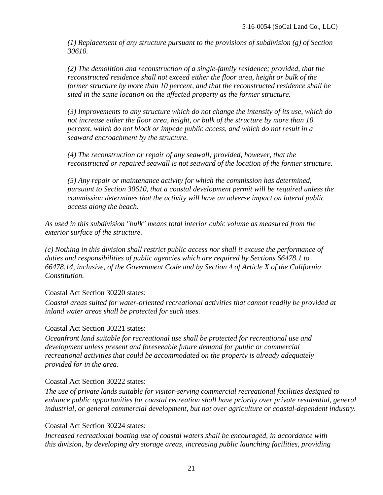*(1) Replacement of any structure pursuant to the provisions of subdivision (g) of Section 30610.* 

*(2) The demolition and reconstruction of a single-family residence; provided, that the reconstructed residence shall not exceed either the floor area, height or bulk of the former structure by more than 10 percent, and that the reconstructed residence shall be sited in the same location on the affected property as the former structure.* 

*(3) Improvements to any structure which do not change the intensity of its use, which do not increase either the floor area, height, or bulk of the structure by more than 10 percent, which do not block or impede public access, and which do not result in a seaward encroachment by the structure.* 

*(4) The reconstruction or repair of any seawall; provided, however, that the reconstructed or repaired seawall is not seaward of the location of the former structure.* 

*(5) Any repair or maintenance activity for which the commission has determined, pursuant to Section 30610, that a coastal development permit will be required unless the commission determines that the activity will have an adverse impact on lateral public access along the beach.* 

*As used in this subdivision "bulk" means total interior cubic volume as measured from the exterior surface of the structure.*

*(c) Nothing in this division shall restrict public access nor shall it excuse the performance of duties and responsibilities of public agencies which are required by Sections 66478.1 to 66478.14, inclusive, of the Government Code and by Section 4 of Article X of the California Constitution.* 

### Coastal Act Section 30220 states:

*Coastal areas suited for water-oriented recreational activities that cannot readily be provided at inland water areas shall be protected for such uses.* 

#### Coastal Act Section 30221 states:

*Oceanfront land suitable for recreational use shall be protected for recreational use and development unless present and foreseeable future demand for public or commercial recreational activities that could be accommodated on the property is already adequately provided for in the area.* 

#### Coastal Act Section 30222 states:

*The use of private lands suitable for visitor-serving commercial recreational facilities designed to enhance public opportunities for coastal recreation shall have priority over private residential, general industrial, or general commercial development, but not over agriculture or coastal-dependent industry.* 

#### Coastal Act Section 30224 states:

*Increased recreational boating use of coastal waters shall be encouraged, in accordance with this division, by developing dry storage areas, increasing public launching facilities, providing*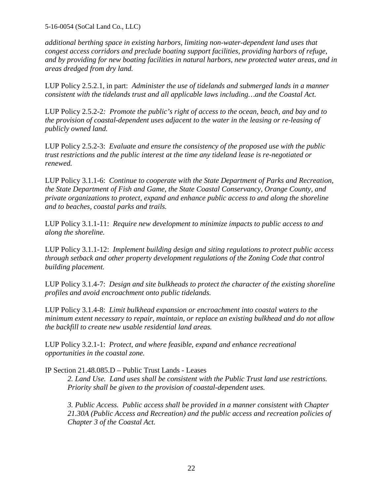*additional berthing space in existing harbors, limiting non-water-dependent land uses that congest access corridors and preclude boating support facilities, providing harbors of refuge, and by providing for new boating facilities in natural harbors, new protected water areas, and in areas dredged from dry land.* 

LUP Policy 2.5.2.1, in part: *Administer the use of tidelands and submerged lands in a manner consistent with the tidelands trust and all applicable laws including…and the Coastal Act.* 

LUP Policy 2.5.2-2*: Promote the public's right of access to the ocean, beach, and bay and to the provision of coastal-dependent uses adjacent to the water in the leasing or re-leasing of publicly owned land.* 

LUP Policy 2.5.2-3: *Evaluate and ensure the consistency of the proposed use with the public trust restrictions and the public interest at the time any tideland lease is re-negotiated or renewed.* 

LUP Policy 3.1.1-6: *Continue to cooperate with the State Department of Parks and Recreation, the State Department of Fish and Game, the State Coastal Conservancy, Orange County, and private organizations to protect, expand and enhance public access to and along the shoreline and to beaches, coastal parks and trails.* 

LUP Policy 3.1.1-11: *Require new development to minimize impacts to public access to and along the shoreline.* 

LUP Policy 3.1.1-12: *Implement building design and siting regulations to protect public access through setback and other property development regulations of the Zoning Code that control building placement.* 

LUP Policy 3.1.4-7: *Design and site bulkheads to protect the character of the existing shoreline profiles and avoid encroachment onto public tidelands.* 

LUP Policy 3.1.4-8: *Limit bulkhead expansion or encroachment into coastal waters to the minimum extent necessary to repair, maintain, or replace an existing bulkhead and do not allow the backfill to create new usable residential land areas.* 

LUP Policy 3.2.1-1: *Protect, and where feasible, expand and enhance recreational opportunities in the coastal zone.* 

IP Section 21.48.085.D – Public Trust Lands - Leases

*2. Land Use. Land uses shall be consistent with the Public Trust land use restrictions. Priority shall be given to the provision of coastal-dependent uses.* 

*3. Public Access. Public access shall be provided in a manner consistent with Chapter 21.30A (Public Access and Recreation) and the public access and recreation policies of Chapter 3 of the Coastal Act.*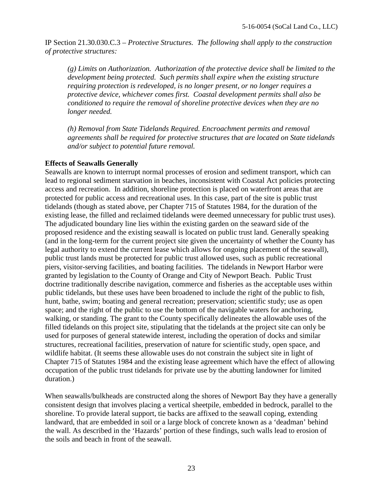IP Section 21.30.030.C.3 – *Protective Structures. The following shall apply to the construction of protective structures:*

*(g) Limits on Authorization. Authorization of the protective device shall be limited to the development being protected. Such permits shall expire when the existing structure requiring protection is redeveloped, is no longer present, or no longer requires a protective device, whichever comes first. Coastal development permits shall also be conditioned to require the removal of shoreline protective devices when they are no longer needed.* 

*(h) Removal from State Tidelands Required. Encroachment permits and removal agreements shall be required for protective structures that are located on State tidelands and/or subject to potential future removal.* 

#### **Effects of Seawalls Generally**

Seawalls are known to interrupt normal processes of erosion and sediment transport, which can lead to regional sediment starvation in beaches, inconsistent with Coastal Act policies protecting access and recreation. In addition, shoreline protection is placed on waterfront areas that are protected for public access and recreational uses. In this case, part of the site is public trust tidelands (though as stated above, per Chapter 715 of Statutes 1984, for the duration of the existing lease, the filled and reclaimed tidelands were deemed unnecessary for public trust uses). The adjudicated boundary line lies within the existing garden on the seaward side of the proposed residence and the existing seawall is located on public trust land. Generally speaking (and in the long-term for the current project site given the uncertainty of whether the County has legal authority to extend the current lease which allows for ongoing placement of the seawall), public trust lands must be protected for public trust allowed uses, such as public recreational piers, visitor-serving facilities, and boating facilities. The tidelands in Newport Harbor were granted by legislation to the County of Orange and City of Newport Beach. Public Trust doctrine traditionally describe navigation, commerce and fisheries as the acceptable uses within public tidelands, but these uses have been broadened to include the right of the public to fish, hunt, bathe, swim; boating and general recreation; preservation; scientific study; use as open space; and the right of the public to use the bottom of the navigable waters for anchoring, walking, or standing. The grant to the County specifically delineates the allowable uses of the filled tidelands on this project site, stipulating that the tidelands at the project site can only be used for purposes of general statewide interest, including the operation of docks and similar structures, recreational facilities, preservation of nature for scientific study, open space, and wildlife habitat. (It seems these allowable uses do not constrain the subject site in light of Chapter 715 of Statutes 1984 and the existing lease agreement which have the effect of allowing occupation of the public trust tidelands for private use by the abutting landowner for limited duration.)

When seawalls/bulkheads are constructed along the shores of Newport Bay they have a generally consistent design that involves placing a vertical sheetpile, embedded in bedrock, parallel to the shoreline. To provide lateral support, tie backs are affixed to the seawall coping, extending landward, that are embedded in soil or a large block of concrete known as a 'deadman' behind the wall. As described in the 'Hazards' portion of these findings, such walls lead to erosion of the soils and beach in front of the seawall.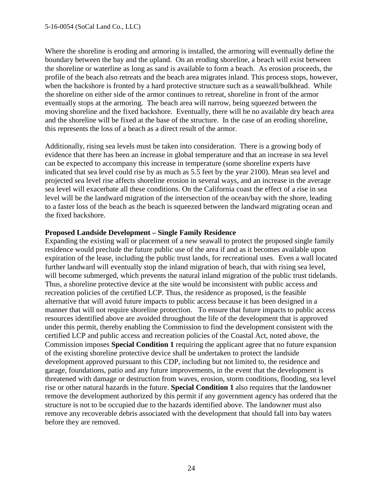Where the shoreline is eroding and armoring is installed, the armoring will eventually define the boundary between the bay and the upland. On an eroding shoreline, a beach will exist between the shoreline or waterline as long as sand is available to form a beach. As erosion proceeds, the profile of the beach also retreats and the beach area migrates inland. This process stops, however, when the backshore is fronted by a hard protective structure such as a seawall/bulkhead. While the shoreline on either side of the armor continues to retreat, shoreline in front of the armor eventually stops at the armoring. The beach area will narrow, being squeezed between the moving shoreline and the fixed backshore. Eventually, there will be no available dry beach area and the shoreline will be fixed at the base of the structure. In the case of an eroding shoreline, this represents the loss of a beach as a direct result of the armor.

Additionally, rising sea levels must be taken into consideration. There is a growing body of evidence that there has been an increase in global temperature and that an increase in sea level can be expected to accompany this increase in temperature (some shoreline experts have indicated that sea level could rise by as much as 5.5 feet by the year 2100). Mean sea level and projected sea level rise affects shoreline erosion in several ways, and an increase in the average sea level will exacerbate all these conditions. On the California coast the effect of a rise in sea level will be the landward migration of the intersection of the ocean/bay with the shore, leading to a faster loss of the beach as the beach is squeezed between the landward migrating ocean and the fixed backshore.

#### **Proposed Landside Development – Single Family Residence**

Expanding the existing wall or placement of a new seawall to protect the proposed single family residence would preclude the future public use of the area if and as it becomes available upon expiration of the lease, including the public trust lands, for recreational uses. Even a wall located further landward will eventually stop the inland migration of beach, that with rising sea level, will become submerged, which prevents the natural inland migration of the public trust tidelands. Thus, a shoreline protective device at the site would be inconsistent with public access and recreation policies of the certified LCP. Thus, the residence as proposed, is the feasible alternative that will avoid future impacts to public access because it has been designed in a manner that will not require shoreline protection. To ensure that future impacts to public access resources identified above are avoided throughout the life of the development that is approved under this permit, thereby enabling the Commission to find the development consistent with the certified LCP and public access and recreation policies of the Coastal Act, noted above, the Commission imposes **Special Condition 1** requiring the applicant agree that no future expansion of the existing shoreline protective device shall be undertaken to protect the landside development approved pursuant to this CDP, including but not limited to, the residence and garage, foundations, patio and any future improvements, in the event that the development is threatened with damage or destruction from waves, erosion, storm conditions, flooding, sea level rise or other natural hazards in the future. **Special Condition 1** also requires that the landowner remove the development authorized by this permit if any government agency has ordered that the structure is not to be occupied due to the hazards identified above. The landowner must also remove any recoverable debris associated with the development that should fall into bay waters before they are removed.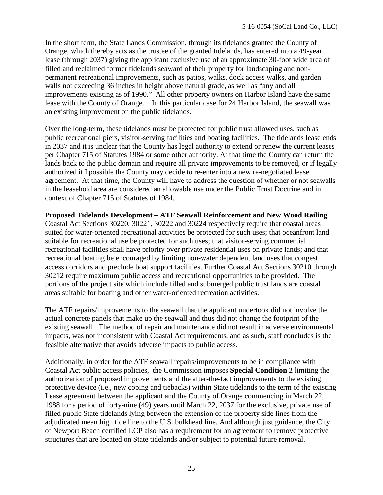In the short term, the State Lands Commission, through its tidelands grantee the County of Orange, which thereby acts as the trustee of the granted tidelands, has entered into a 49-year lease (through 2037) giving the applicant exclusive use of an approximate 30-foot wide area of filled and reclaimed former tidelands seaward of their property for landscaping and nonpermanent recreational improvements, such as patios, walks, dock access walks, and garden walls not exceeding 36 inches in height above natural grade, as well as "any and all improvements existing as of 1990." All other property owners on Harbor Island have the same lease with the County of Orange. In this particular case for 24 Harbor Island, the seawall was an existing improvement on the public tidelands.

Over the long-term, these tidelands must be protected for public trust allowed uses, such as public recreational piers, visitor-serving facilities and boating facilities. The tidelands lease ends in 2037 and it is unclear that the County has legal authority to extend or renew the current leases per Chapter 715 of Statutes 1984 or some other authority. At that time the County can return the lands back to the public domain and require all private improvements to be removed, or if legally authorized it I possible the County may decide to re-enter into a new re-negotiated lease agreement. At that time, the County will have to address the question of whether or not seawalls in the leasehold area are considered an allowable use under the Public Trust Doctrine and in context of Chapter 715 of Statutes of 1984.

#### **Proposed Tidelands Development – ATF Seawall Reinforcement and New Wood Railing**

Coastal Act Sections 30220, 30221, 30222 and 30224 respectively require that coastal areas suited for water-oriented recreational activities be protected for such uses; that oceanfront land suitable for recreational use be protected for such uses; that visitor-serving commercial recreational facilities shall have priority over private residential uses on private lands; and that recreational boating be encouraged by limiting non-water dependent land uses that congest access corridors and preclude boat support facilities. Further Coastal Act Sections 30210 through 30212 require maximum public access and recreational opportunities to be provided. The portions of the project site which include filled and submerged public trust lands are coastal areas suitable for boating and other water-oriented recreation activities.

The ATF repairs/improvements to the seawall that the applicant undertook did not involve the actual concrete panels that make up the seawall and thus did not change the footprint of the existing seawall. The method of repair and maintenance did not result in adverse environmental impacts, was not inconsistent with Coastal Act requirements, and as such, staff concludes is the feasible alternative that avoids adverse impacts to public access.

Additionally, in order for the ATF seawall repairs/improvements to be in compliance with Coastal Act public access policies, the Commission imposes **Special Condition 2** limiting the authorization of proposed improvements and the after-the-fact improvements to the existing protective device (i.e., new coping and tiebacks) within State tidelands to the term of the existing Lease agreement between the applicant and the County of Orange commencing in March 22, 1988 for a period of forty-nine (49) years until March 22, 2037 for the exclusive, private use of filled public State tidelands lying between the extension of the property side lines from the adjudicated mean high tide line to the U.S. bulkhead line. And although just guidance, the City of Newport Beach certified LCP also has a requirement for an agreement to remove protective structures that are located on State tidelands and/or subject to potential future removal.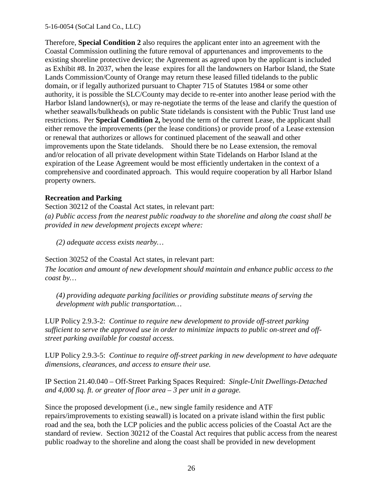Therefore, **Special Condition 2** also requires the applicant enter into an agreement with the Coastal Commission outlining the future removal of appurtenances and improvements to the existing shoreline protective device; the Agreement as agreed upon by the applicant is included as Exhibit #8. In 2037, when the lease expires for all the landowners on Harbor Island, the State Lands Commission/County of Orange may return these leased filled tidelands to the public domain, or if legally authorized pursuant to Chapter 715 of Statutes 1984 or some other authority, it is possible the SLC/County may decide to re-enter into another lease period with the Harbor Island landowner(s), or may re-negotiate the terms of the lease and clarify the question of whether seawalls/bulkheads on public State tidelands is consistent with the Public Trust land use restrictions. Per **Special Condition 2,** beyond the term of the current Lease, the applicant shall either remove the improvements (per the lease conditions) or provide proof of a Lease extension or renewal that authorizes or allows for continued placement of the seawall and other improvements upon the State tidelands. Should there be no Lease extension, the removal and/or relocation of all private development within State Tidelands on Harbor Island at the expiration of the Lease Agreement would be most efficiently undertaken in the context of a comprehensive and coordinated approach. This would require cooperation by all Harbor Island property owners.

#### **Recreation and Parking**

Section 30212 of the Coastal Act states, in relevant part:

*(a) Public access from the nearest public roadway to the shoreline and along the coast shall be provided in new development projects except where:* 

*(2) adequate access exists nearby…*

Section 30252 of the Coastal Act states, in relevant part:

*The location and amount of new development should maintain and enhance public access to the coast by…* 

*(4) providing adequate parking facilities or providing substitute means of serving the development with public transportation…* 

LUP Policy 2.9.3-2: *Continue to require new development to provide off-street parking sufficient to serve the approved use in order to minimize impacts to public on-street and offstreet parking available for coastal access.* 

LUP Policy 2.9.3-5: *Continue to require off-street parking in new development to have adequate dimensions, clearances, and access to ensure their use.* 

IP Section 21.40.040 – Off-Street Parking Spaces Required: *Single-Unit Dwellings-Detached and 4,000 sq. ft. or greater of floor area – 3 per unit in a garage.* 

Since the proposed development (i.e., new single family residence and ATF repairs/improvements to existing seawall) is located on a private island within the first public road and the sea, both the LCP policies and the public access policies of the Coastal Act are the standard of review. Section 30212 of the Coastal Act requires that public access from the nearest public roadway to the shoreline and along the coast shall be provided in new development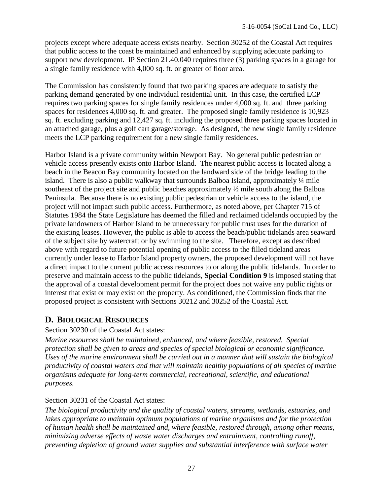projects except where adequate access exists nearby. Section 30252 of the Coastal Act requires that public access to the coast be maintained and enhanced by supplying adequate parking to support new development. IP Section 21.40.040 requires three (3) parking spaces in a garage for a single family residence with 4,000 sq. ft. or greater of floor area.

The Commission has consistently found that two parking spaces are adequate to satisfy the parking demand generated by one individual residential unit. In this case, the certified LCP requires two parking spaces for single family residences under 4,000 sq. ft. and three parking spaces for residences 4,000 sq. ft. and greater. The proposed single family residence is 10,923 sq. ft. excluding parking and 12,427 sq. ft. including the proposed three parking spaces located in an attached garage, plus a golf cart garage/storage. As designed, the new single family residence meets the LCP parking requirement for a new single family residences.

Harbor Island is a private community within Newport Bay. No general public pedestrian or vehicle access presently exists onto Harbor Island. The nearest public access is located along a beach in the Beacon Bay community located on the landward side of the bridge leading to the island. There is also a public walkway that surrounds Balboa Island, approximately ¼ mile southeast of the project site and public beaches approximately ½ mile south along the Balboa Peninsula. Because there is no existing public pedestrian or vehicle access to the island, the project will not impact such public access. Furthermore, as noted above, per Chapter 715 of Statutes 1984 the State Legislature has deemed the filled and reclaimed tidelands occupied by the private landowners of Harbor Island to be unnecessary for public trust uses for the duration of the existing leases. However, the public is able to access the beach/public tidelands area seaward of the subject site by watercraft or by swimming to the site. Therefore, except as described above with regard to future potential opening of public access to the filled tideland areas currently under lease to Harbor Island property owners, the proposed development will not have a direct impact to the current public access resources to or along the public tidelands. In order to preserve and maintain access to the public tidelands, **Special Condition 9** is imposed stating that the approval of a coastal development permit for the project does not waive any public rights or interest that exist or may exist on the property. As conditioned, the Commission finds that the proposed project is consistent with Sections 30212 and 30252 of the Coastal Act.

# **D. BIOLOGICAL RESOURCES**

### Section 30230 of the Coastal Act states:

*Marine resources shall be maintained, enhanced, and where feasible, restored. Special protection shall be given to areas and species of special biological or economic significance. Uses of the marine environment shall be carried out in a manner that will sustain the biological productivity of coastal waters and that will maintain healthy populations of all species of marine organisms adequate for long-term commercial, recreational, scientific, and educational purposes.* 

### Section 30231 of the Coastal Act states:

*The biological productivity and the quality of coastal waters, streams, wetlands, estuaries, and lakes appropriate to maintain optimum populations of marine organisms and for the protection of human health shall be maintained and, where feasible, restored through, among other means, minimizing adverse effects of waste water discharges and entrainment, controlling runoff, preventing depletion of ground water supplies and substantial interference with surface water*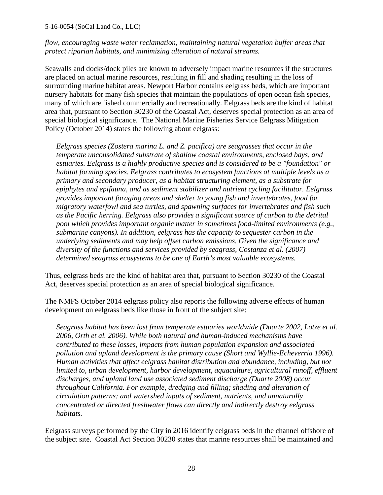*flow, encouraging waste water reclamation, maintaining natural vegetation buffer areas that protect riparian habitats, and minimizing alteration of natural streams.* 

Seawalls and docks/dock piles are known to adversely impact marine resources if the structures are placed on actual marine resources, resulting in fill and shading resulting in the loss of surrounding marine habitat areas. Newport Harbor contains eelgrass beds, which are important nursery habitats for many fish species that maintain the populations of open ocean fish species, many of which are fished commercially and recreationally. Eelgrass beds are the kind of habitat area that, pursuant to Section 30230 of the Coastal Act, deserves special protection as an area of special biological significance. The National Marine Fisheries Service Eelgrass Mitigation Policy (October 2014) states the following about eelgrass:

*Eelgrass species (Zostera marina L. and Z. pacifica) are seagrasses that occur in the temperate unconsolidated substrate of shallow coastal environments, enclosed bays, and estuaries. Eelgrass is a highly productive species and is considered to be a "foundation" or habitat forming species. Eelgrass contributes to ecosystem functions at multiple levels as a primary and secondary producer, as a habitat structuring element, as a substrate for epiphytes and epifauna, and as sediment stabilizer and nutrient cycling facilitator. Eelgrass provides important foraging areas and shelter to young fish and invertebrates, food for migratory waterfowl and sea turtles, and spawning surfaces for invertebrates and fish such as the Pacific herring. Eelgrass also provides a significant source of carbon to the detrital pool which provides important organic matter in sometimes food-limited environments (e.g., submarine canyons). In addition, eelgrass has the capacity to sequester carbon in the underlying sediments and may help offset carbon emissions. Given the significance and diversity of the functions and services provided by seagrass, Costanza et al. (2007) determined seagrass ecosystems to be one of Earth's most valuable ecosystems.* 

Thus, eelgrass beds are the kind of habitat area that, pursuant to Section 30230 of the Coastal Act, deserves special protection as an area of special biological significance.

The NMFS October 2014 eelgrass policy also reports the following adverse effects of human development on eelgrass beds like those in front of the subject site:

*Seagrass habitat has been lost from temperate estuaries worldwide (Duarte 2002, Lotze et al. 2006, Orth et al. 2006). While both natural and human-induced mechanisms have contributed to these losses, impacts from human population expansion and associated pollution and upland development is the primary cause (Short and Wyllie-Echeverria 1996). Human activities that affect eelgrass habitat distribution and abundance, including, but not*  limited to, urban development, harbor development, aquaculture, agricultural runoff, effluent *discharges, and upland land use associated sediment discharge (Duarte 2008) occur throughout California. For example, dredging and filling; shading and alteration of circulation patterns; and watershed inputs of sediment, nutrients, and unnaturally concentrated or directed freshwater flows can directly and indirectly destroy eelgrass habitats.* 

Eelgrass surveys performed by the City in 2016 identify eelgrass beds in the channel offshore of the subject site. Coastal Act Section 30230 states that marine resources shall be maintained and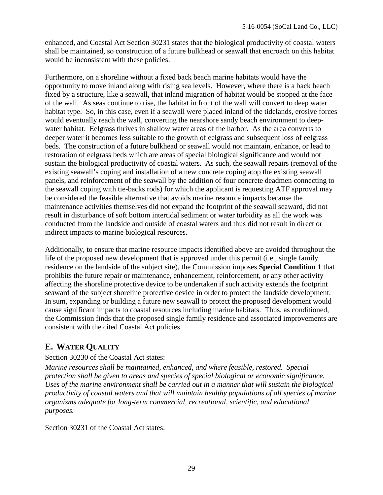enhanced, and Coastal Act Section 30231 states that the biological productivity of coastal waters shall be maintained, so construction of a future bulkhead or seawall that encroach on this habitat would be inconsistent with these policies.

Furthermore, on a shoreline without a fixed back beach marine habitats would have the opportunity to move inland along with rising sea levels. However, where there is a back beach fixed by a structure, like a seawall, that inland migration of habitat would be stopped at the face of the wall. As seas continue to rise, the habitat in front of the wall will convert to deep water habitat type. So, in this case, even if a seawall were placed inland of the tidelands, erosive forces would eventually reach the wall, converting the nearshore sandy beach environment to deepwater habitat. Eelgrass thrives in shallow water areas of the harbor. As the area converts to deeper water it becomes less suitable to the growth of eelgrass and subsequent loss of eelgrass beds. The construction of a future bulkhead or seawall would not maintain, enhance, or lead to restoration of eelgrass beds which are areas of special biological significance and would not sustain the biological productivity of coastal waters. As such, the seawall repairs (removal of the existing seawall's coping and installation of a new concrete coping atop the existing seawall panels, and reinforcement of the seawall by the addition of four concrete deadmen connecting to the seawall coping with tie-backs rods) for which the applicant is requesting ATF approval may be considered the feasible alternative that avoids marine resource impacts because the maintenance activities themselves did not expand the footprint of the seawall seaward, did not result in disturbance of soft bottom intertidal sediment or water turbidity as all the work was conducted from the landside and outside of coastal waters and thus did not result in direct or indirect impacts to marine biological resources.

Additionally, to ensure that marine resource impacts identified above are avoided throughout the life of the proposed new development that is approved under this permit (i.e., single family residence on the landside of the subject site), the Commission imposes **Special Condition 1** that prohibits the future repair or maintenance, enhancement, reinforcement, or any other activity affecting the shoreline protective device to be undertaken if such activity extends the footprint seaward of the subject shoreline protective device in order to protect the landside development. In sum, expanding or building a future new seawall to protect the proposed development would cause significant impacts to coastal resources including marine habitats. Thus, as conditioned, the Commission finds that the proposed single family residence and associated improvements are consistent with the cited Coastal Act policies.

# **E. WATER QUALITY**

### Section 30230 of the Coastal Act states:

*Marine resources shall be maintained, enhanced, and where feasible, restored. Special protection shall be given to areas and species of special biological or economic significance. Uses of the marine environment shall be carried out in a manner that will sustain the biological productivity of coastal waters and that will maintain healthy populations of all species of marine organisms adequate for long-term commercial, recreational, scientific, and educational purposes.* 

Section 30231 of the Coastal Act states: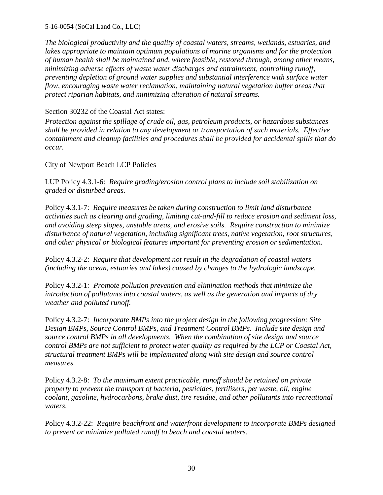*The biological productivity and the quality of coastal waters, streams, wetlands, estuaries, and*  lakes appropriate to maintain optimum populations of marine organisms and for the protection *of human health shall be maintained and, where feasible, restored through, among other means, minimizing adverse effects of waste water discharges and entrainment, controlling runoff, preventing depletion of ground water supplies and substantial interference with surface water flow, encouraging waste water reclamation, maintaining natural vegetation buffer areas that protect riparian habitats, and minimizing alteration of natural streams.* 

### Section 30232 of the Coastal Act states:

*Protection against the spillage of crude oil, gas, petroleum products, or hazardous substances shall be provided in relation to any development or transportation of such materials. Effective containment and cleanup facilities and procedures shall be provided for accidental spills that do occur.*

City of Newport Beach LCP Policies

LUP Policy 4.3.1-6: *Require grading/erosion control plans to include soil stabilization on graded or disturbed areas.* 

Policy 4.3.1-7: *Require measures be taken during construction to limit land disturbance activities such as clearing and grading, limiting cut-and-fill to reduce erosion and sediment loss, and avoiding steep slopes, unstable areas, and erosive soils. Require construction to minimize disturbance of natural vegetation, including significant trees, native vegetation, root structures, and other physical or biological features important for preventing erosion or sedimentation.* 

Policy 4.3.2-2: *Require that development not result in the degradation of coastal waters (including the ocean, estuaries and lakes) caused by changes to the hydrologic landscape.* 

Policy 4.3.2-1*: Promote pollution prevention and elimination methods that minimize the introduction of pollutants into coastal waters, as well as the generation and impacts of dry weather and polluted runoff.* 

Policy 4.3.2-7: *Incorporate BMPs into the project design in the following progression: Site Design BMPs, Source Control BMPs, and Treatment Control BMPs. Include site design and source control BMPs in all developments. When the combination of site design and source control BMPs are not sufficient to protect water quality as required by the LCP or Coastal Act, structural treatment BMPs will be implemented along with site design and source control measures.*

Policy 4.3.2-8: *To the maximum extent practicable, runoff should be retained on private property to prevent the transport of bacteria, pesticides, fertilizers, pet waste, oil, engine coolant, gasoline, hydrocarbons, brake dust, tire residue, and other pollutants into recreational waters.*

Policy 4.3.2-22: *Require beachfront and waterfront development to incorporate BMPs designed to prevent or minimize polluted runoff to beach and coastal waters.*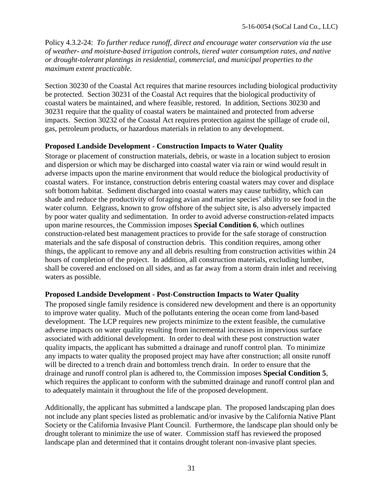Policy 4.3.2-24: *To further reduce runoff, direct and encourage water conservation via the use of weather- and moisture-based irrigation controls, tiered water consumption rates, and native or drought-tolerant plantings in residential, commercial, and municipal properties to the maximum extent practicable.*

Section 30230 of the Coastal Act requires that marine resources including biological productivity be protected. Section 30231 of the Coastal Act requires that the biological productivity of coastal waters be maintained, and where feasible, restored. In addition, Sections 30230 and 30231 require that the quality of coastal waters be maintained and protected from adverse impacts. Section 30232 of the Coastal Act requires protection against the spillage of crude oil, gas, petroleum products, or hazardous materials in relation to any development.

#### **Proposed Landside Development - Construction Impacts to Water Quality**

Storage or placement of construction materials, debris, or waste in a location subject to erosion and dispersion or which may be discharged into coastal water via rain or wind would result in adverse impacts upon the marine environment that would reduce the biological productivity of coastal waters. For instance, construction debris entering coastal waters may cover and displace soft bottom habitat. Sediment discharged into coastal waters may cause turbidity, which can shade and reduce the productivity of foraging avian and marine species' ability to see food in the water column. Eelgrass, known to grow offshore of the subject site, is also adversely impacted by poor water quality and sedimentation. In order to avoid adverse construction-related impacts upon marine resources, the Commission imposes **Special Condition 6**, which outlines construction-related best management practices to provide for the safe storage of construction materials and the safe disposal of construction debris. This condition requires, among other things, the applicant to remove any and all debris resulting from construction activities within 24 hours of completion of the project. In addition, all construction materials, excluding lumber, shall be covered and enclosed on all sides, and as far away from a storm drain inlet and receiving waters as possible.

### **Proposed Landside Development - Post-Construction Impacts to Water Quality**

The proposed single family residence is considered new development and there is an opportunity to improve water quality. Much of the pollutants entering the ocean come from land-based development. The LCP requires new projects minimize to the extent feasible, the cumulative adverse impacts on water quality resulting from incremental increases in impervious surface associated with additional development. In order to deal with these post construction water quality impacts, the applicant has submitted a drainage and runoff control plan. To minimize any impacts to water quality the proposed project may have after construction; all onsite runoff will be directed to a trench drain and bottomless trench drain. In order to ensure that the drainage and runoff control plan is adhered to, the Commission imposes **Special Condition 5**, which requires the applicant to conform with the submitted drainage and runoff control plan and to adequately maintain it throughout the life of the proposed development.

Additionally, the applicant has submitted a landscape plan. The proposed landscaping plan does not include any plant species listed as problematic and/or invasive by the California Native Plant Society or the California Invasive Plant Council. Furthermore, the landscape plan should only be drought tolerant to minimize the use of water. Commission staff has reviewed the proposed landscape plan and determined that it contains drought tolerant non-invasive plant species.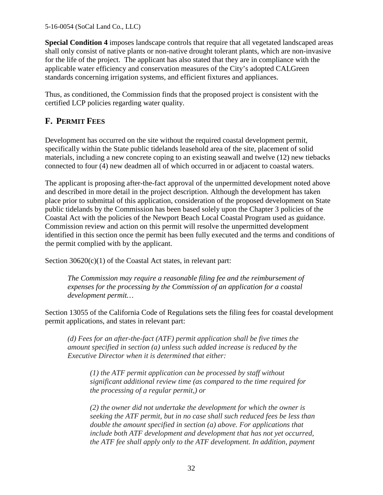**Special Condition 4** imposes landscape controls that require that all vegetated landscaped areas shall only consist of native plants or non-native drought tolerant plants, which are non-invasive for the life of the project. The applicant has also stated that they are in compliance with the applicable water efficiency and conservation measures of the City's adopted CALGreen standards concerning irrigation systems, and efficient fixtures and appliances.

Thus, as conditioned, the Commission finds that the proposed project is consistent with the certified LCP policies regarding water quality.

# **F. PERMIT FEES**

Development has occurred on the site without the required coastal development permit, specifically within the State public tidelands leasehold area of the site, placement of solid materials, including a new concrete coping to an existing seawall and twelve (12) new tiebacks connected to four (4) new deadmen all of which occurred in or adjacent to coastal waters.

The applicant is proposing after-the-fact approval of the unpermitted development noted above and described in more detail in the project description. Although the development has taken place prior to submittal of this application, consideration of the proposed development on State public tidelands by the Commission has been based solely upon the Chapter 3 policies of the Coastal Act with the policies of the Newport Beach Local Coastal Program used as guidance. Commission review and action on this permit will resolve the unpermitted development identified in this section once the permit has been fully executed and the terms and conditions of the permit complied with by the applicant.

Section 30620(c)(1) of the Coastal Act states, in relevant part:

*The Commission may require a reasonable filing fee and the reimbursement of expenses for the processing by the Commission of an application for a coastal development permit…*

Section 13055 of the California Code of Regulations sets the filing fees for coastal development permit applications, and states in relevant part:

*(d) Fees for an after-the-fact (ATF) permit application shall be five times the amount specified in section (a) unless such added increase is reduced by the Executive Director when it is determined that either:*

*(1) the ATF permit application can be processed by staff without significant additional review time (as compared to the time required for the processing of a regular permit,) or* 

*(2) the owner did not undertake the development for which the owner is seeking the ATF permit, but in no case shall such reduced fees be less than double the amount specified in section (a) above. For applications that include both ATF development and development that has not yet occurred, the ATF fee shall apply only to the ATF development. In addition, payment*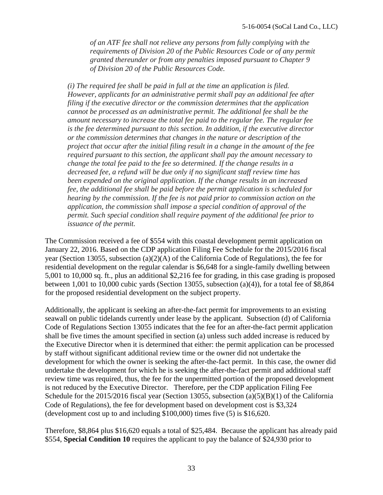*of an ATF fee shall not relieve any persons from fully complying with the requirements of Division 20 of the Public Resources Code or of any permit granted thereunder or from any penalties imposed pursuant to Chapter 9 of Division 20 of the Public Resources Code.*

*(i) The required fee shall be paid in full at the time an application is filed. However, applicants for an administrative permit shall pay an additional fee after filing if the executive director or the commission determines that the application cannot be processed as an administrative permit. The additional fee shall be the amount necessary to increase the total fee paid to the regular fee. The regular fee is the fee determined pursuant to this section. In addition, if the executive director or the commission determines that changes in the nature or description of the project that occur after the initial filing result in a change in the amount of the fee required pursuant to this section, the applicant shall pay the amount necessary to change the total fee paid to the fee so determined. If the change results in a decreased fee, a refund will be due only if no significant staff review time has been expended on the original application. If the change results in an increased fee, the additional fee shall be paid before the permit application is scheduled for hearing by the commission. If the fee is not paid prior to commission action on the application, the commission shall impose a special condition of approval of the permit. Such special condition shall require payment of the additional fee prior to issuance of the permit.* 

The Commission received a fee of \$554 with this coastal development permit application on January 22, 2016. Based on the CDP application Filing Fee Schedule for the 2015/2016 fiscal year (Section 13055, subsection (a)(2)(A) of the California Code of Regulations), the fee for residential development on the regular calendar is \$6,648 for a single-family dwelling between 5,001 to 10,000 sq. ft., plus an additional \$2,216 fee for grading, in this case grading is proposed between 1,001 to 10,000 cubic yards (Section 13055, subsection (a)(4)), for a total fee of \$8,864 for the proposed residential development on the subject property.

Additionally, the applicant is seeking an after-the-fact permit for improvements to an existing seawall on public tidelands currently under lease by the applicant. Subsection (d) of California Code of Regulations Section 13055 indicates that the fee for an after-the-fact permit application shall be five times the amount specified in section (a) unless such added increase is reduced by the Executive Director when it is determined that either: the permit application can be processed by staff without significant additional review time or the owner did not undertake the development for which the owner is seeking the after-the-fact permit. In this case, the owner did undertake the development for which he is seeking the after-the-fact permit and additional staff review time was required, thus, the fee for the unpermitted portion of the proposed development is not reduced by the Executive Director. Therefore, per the CDP application Filing Fee Schedule for the 2015/2016 fiscal year (Section 13055, subsection (a)(5)(B)(1) of the California Code of Regulations), the fee for development based on development cost is \$3,324 (development cost up to and including \$100,000) times five (5) is \$16,620.

Therefore, \$8,864 plus \$16,620 equals a total of \$25,484. Because the applicant has already paid \$554, **Special Condition 10** requires the applicant to pay the balance of \$24,930 prior to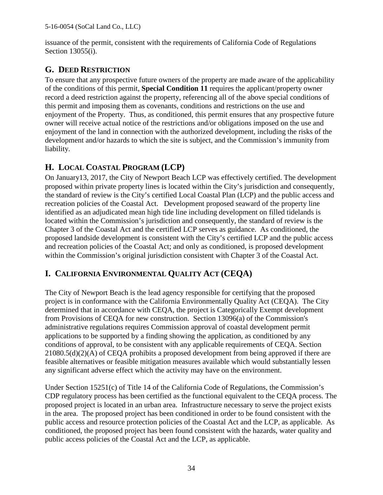issuance of the permit, consistent with the requirements of California Code of Regulations Section 13055(i).

# **G. DEED RESTRICTION**

To ensure that any prospective future owners of the property are made aware of the applicability of the conditions of this permit, **Special Condition 11** requires the applicant/property owner record a deed restriction against the property, referencing all of the above special conditions of this permit and imposing them as covenants, conditions and restrictions on the use and enjoyment of the Property. Thus, as conditioned, this permit ensures that any prospective future owner will receive actual notice of the restrictions and/or obligations imposed on the use and enjoyment of the land in connection with the authorized development, including the risks of the development and/or hazards to which the site is subject, and the Commission's immunity from liability.

# **H. LOCAL COASTAL PROGRAM (LCP)**

On January13, 2017, the City of Newport Beach LCP was effectively certified. The development proposed within private property lines is located within the City's jurisdiction and consequently, the standard of review is the City's certified Local Coastal Plan (LCP) and the public access and recreation policies of the Coastal Act. Development proposed seaward of the property line identified as an adjudicated mean high tide line including development on filled tidelands is located within the Commission's jurisdiction and consequently, the standard of review is the Chapter 3 of the Coastal Act and the certified LCP serves as guidance. As conditioned, the proposed landside development is consistent with the City's certified LCP and the public access and recreation policies of the Coastal Act; and only as conditioned, is proposed development within the Commission's original jurisdiction consistent with Chapter 3 of the Coastal Act.

# **I. CALIFORNIA ENVIRONMENTAL QUALITY ACT (CEQA)**

The City of Newport Beach is the lead agency responsible for certifying that the proposed project is in conformance with the California Environmentally Quality Act (CEQA). The City determined that in accordance with CEQA, the project is Categorically Exempt development from Provisions of CEQA for new construction. Section 13096(a) of the Commission's administrative regulations requires Commission approval of coastal development permit applications to be supported by a finding showing the application, as conditioned by any conditions of approval, to be consistent with any applicable requirements of CEQA. Section 21080.5(d)(2)(A) of CEQA prohibits a proposed development from being approved if there are feasible alternatives or feasible mitigation measures available which would substantially lessen any significant adverse effect which the activity may have on the environment.

Under Section 15251(c) of Title 14 of the California Code of Regulations, the Commission's CDP regulatory process has been certified as the functional equivalent to the CEQA process. The proposed project is located in an urban area. Infrastructure necessary to serve the project exists in the area. The proposed project has been conditioned in order to be found consistent with the public access and resource protection policies of the Coastal Act and the LCP, as applicable. As conditioned, the proposed project has been found consistent with the hazards, water quality and public access policies of the Coastal Act and the LCP, as applicable.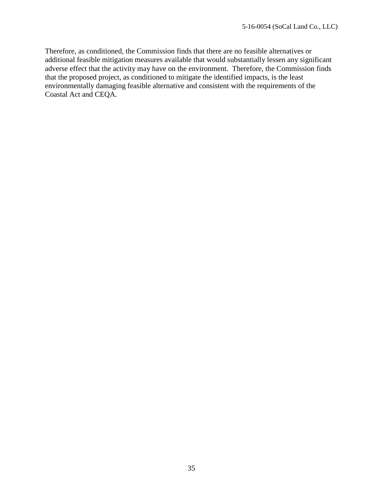Therefore, as conditioned, the Commission finds that there are no feasible alternatives or additional feasible mitigation measures available that would substantially lessen any significant adverse effect that the activity may have on the environment. Therefore, the Commission finds that the proposed project, as conditioned to mitigate the identified impacts, is the least environmentally damaging feasible alternative and consistent with the requirements of the Coastal Act and CEQA.